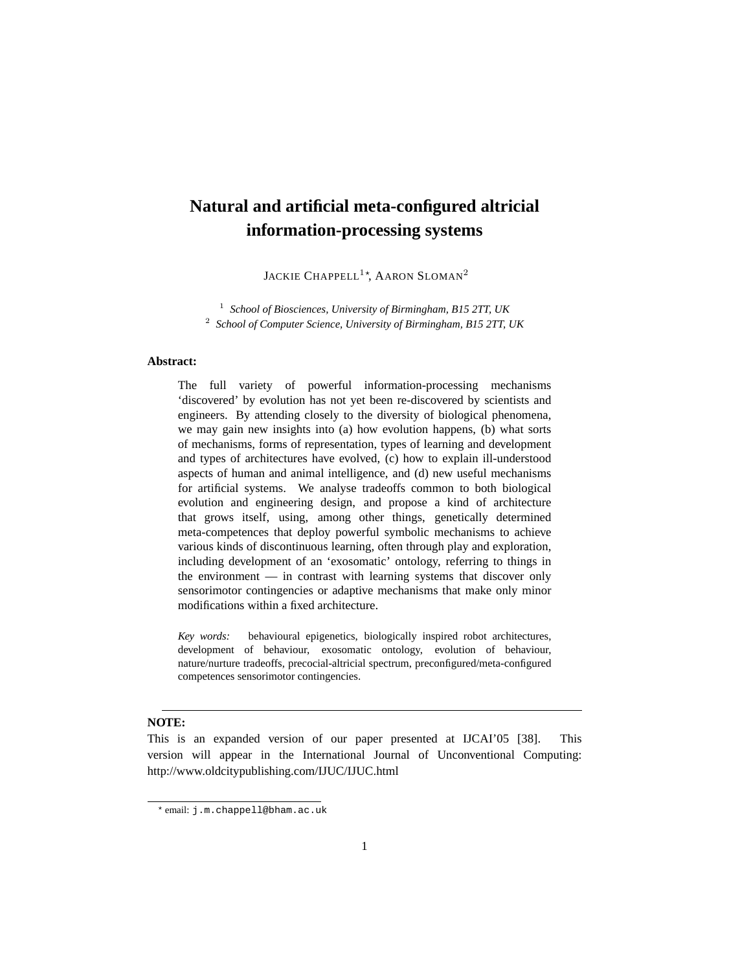# **Natural and artificial meta-configured altricial information-processing systems**

JACKIE CHAPPELL<sup>1</sup>\*, AARON SLOMAN<sup>2</sup>

1 *School of Biosciences, University of Birmingham, B15 2TT, UK* 2 *School of Computer Science, University of Birmingham, B15 2TT, UK*

### **Abstract:**

The full variety of powerful information-processing mechanisms 'discovered' by evolution has not yet been re-discovered by scientists and engineers. By attending closely to the diversity of biological phenomena, we may gain new insights into (a) how evolution happens, (b) what sorts of mechanisms, forms of representation, types of learning and development and types of architectures have evolved, (c) how to explain ill-understood aspects of human and animal intelligence, and (d) new useful mechanisms for artificial systems. We analyse tradeoffs common to both biological evolution and engineering design, and propose a kind of architecture that grows itself, using, among other things, genetically determined meta-competences that deploy powerful symbolic mechanisms to achieve various kinds of discontinuous learning, often through play and exploration, including development of an 'exosomatic' ontology, referring to things in the environment — in contrast with learning systems that discover only sensorimotor contingencies or adaptive mechanisms that make only minor modifications within a fixed architecture.

*Key words:* behavioural epigenetics, biologically inspired robot architectures, development of behaviour, exosomatic ontology, evolution of behaviour, nature/nurture tradeoffs, precocial-altricial spectrum, preconfigured/meta-configured competences sensorimotor contingencies.

## **NOTE:**

This is an expanded version of our paper presented at IJCAI'05 [38]. This version will appear in the International Journal of Unconventional Computing: http://www.oldcitypublishing.com/IJUC/IJUC.html

<sup>?</sup> email: j.m.chappell@bham.ac.uk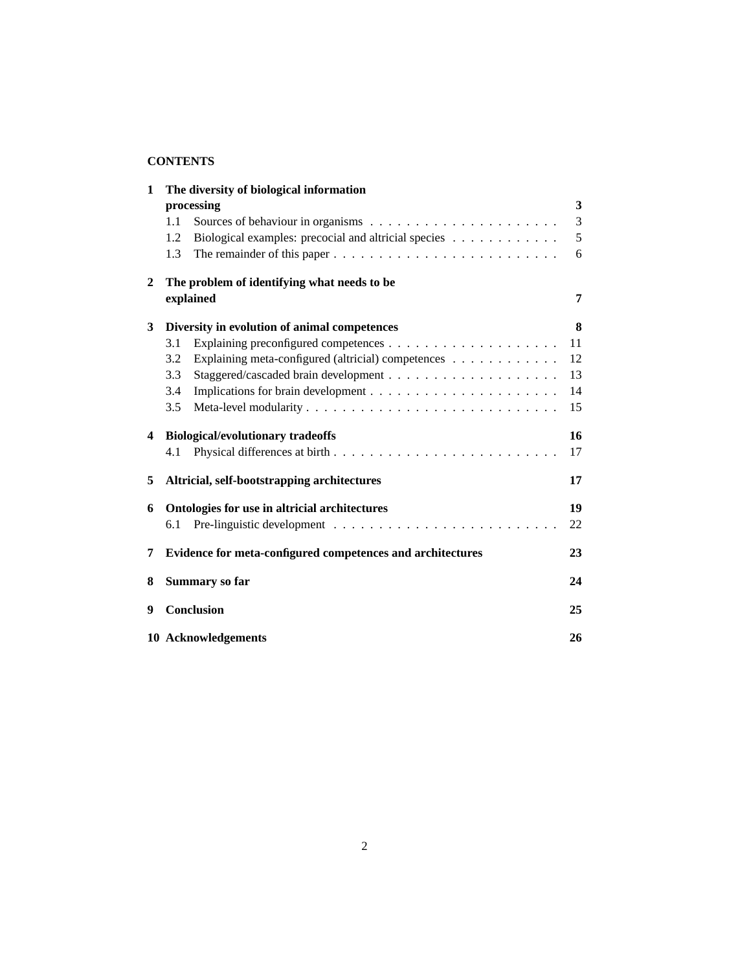# **CONTENTS**

| 1 | The diversity of biological information                                                          |  |  |  |    |
|---|--------------------------------------------------------------------------------------------------|--|--|--|----|
|   | processing                                                                                       |  |  |  | 3  |
|   | 1.1                                                                                              |  |  |  | 3  |
|   | Biological examples: precocial and altricial species<br>1.2                                      |  |  |  | 5  |
|   | The remainder of this paper $\dots \dots \dots \dots \dots \dots \dots \dots \dots \dots$<br>1.3 |  |  |  | 6  |
| 2 | The problem of identifying what needs to be                                                      |  |  |  |    |
|   | explained                                                                                        |  |  |  | 7  |
| 3 | Diversity in evolution of animal competences                                                     |  |  |  | 8  |
|   | 3.1                                                                                              |  |  |  | 11 |
|   | Explaining meta-configured (altricial) competences<br>3.2                                        |  |  |  | 12 |
|   | 3.3                                                                                              |  |  |  | 13 |
|   | 3.4                                                                                              |  |  |  | 14 |
|   | 3.5                                                                                              |  |  |  | 15 |
| 4 | <b>Biological/evolutionary tradeoffs</b>                                                         |  |  |  | 16 |
|   | 4.1                                                                                              |  |  |  | 17 |
| 5 | Altricial, self-bootstrapping architectures                                                      |  |  |  | 17 |
| 6 | Ontologies for use in altricial architectures                                                    |  |  |  | 19 |
|   | 6.1                                                                                              |  |  |  | 22 |
| 7 | Evidence for meta-configured competences and architectures                                       |  |  |  | 23 |
| 8 | Summary so far                                                                                   |  |  |  | 24 |
| 9 | Conclusion                                                                                       |  |  |  | 25 |
|   | 10 Acknowledgements                                                                              |  |  |  | 26 |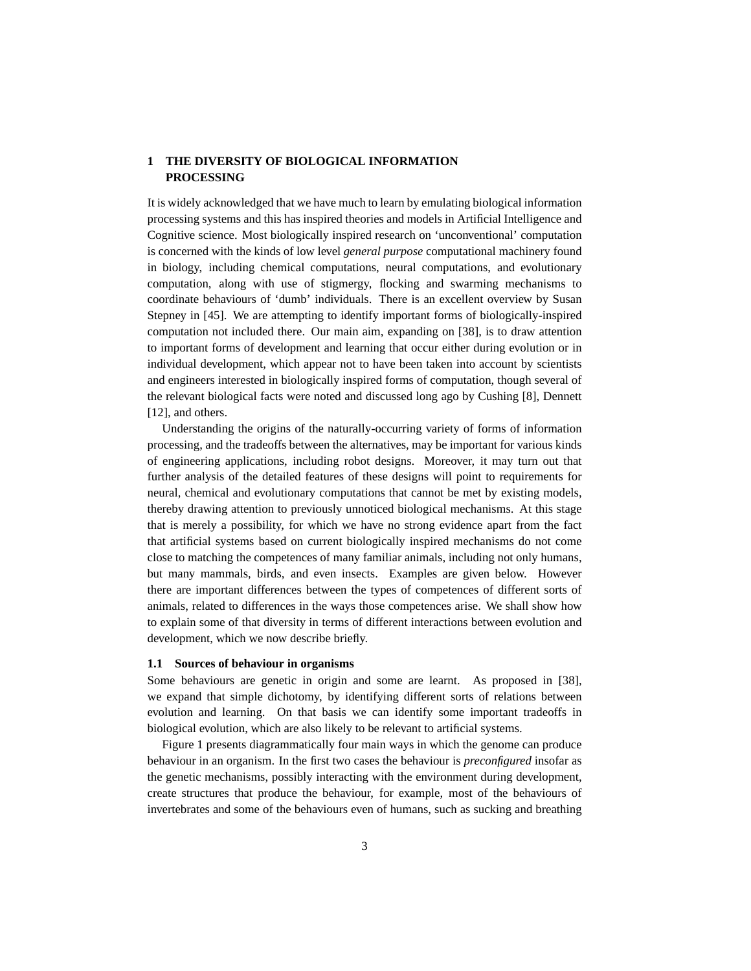## **1 THE DIVERSITY OF BIOLOGICAL INFORMATION PROCESSING**

It is widely acknowledged that we have much to learn by emulating biological information processing systems and this has inspired theories and models in Artificial Intelligence and Cognitive science. Most biologically inspired research on 'unconventional' computation is concerned with the kinds of low level *general purpose* computational machinery found in biology, including chemical computations, neural computations, and evolutionary computation, along with use of stigmergy, flocking and swarming mechanisms to coordinate behaviours of 'dumb' individuals. There is an excellent overview by Susan Stepney in [45]. We are attempting to identify important forms of biologically-inspired computation not included there. Our main aim, expanding on [38], is to draw attention to important forms of development and learning that occur either during evolution or in individual development, which appear not to have been taken into account by scientists and engineers interested in biologically inspired forms of computation, though several of the relevant biological facts were noted and discussed long ago by Cushing [8], Dennett [12], and others.

Understanding the origins of the naturally-occurring variety of forms of information processing, and the tradeoffs between the alternatives, may be important for various kinds of engineering applications, including robot designs. Moreover, it may turn out that further analysis of the detailed features of these designs will point to requirements for neural, chemical and evolutionary computations that cannot be met by existing models, thereby drawing attention to previously unnoticed biological mechanisms. At this stage that is merely a possibility, for which we have no strong evidence apart from the fact that artificial systems based on current biologically inspired mechanisms do not come close to matching the competences of many familiar animals, including not only humans, but many mammals, birds, and even insects. Examples are given below. However there are important differences between the types of competences of different sorts of animals, related to differences in the ways those competences arise. We shall show how to explain some of that diversity in terms of different interactions between evolution and development, which we now describe briefly.

#### **1.1 Sources of behaviour in organisms**

Some behaviours are genetic in origin and some are learnt. As proposed in [38], we expand that simple dichotomy, by identifying different sorts of relations between evolution and learning. On that basis we can identify some important tradeoffs in biological evolution, which are also likely to be relevant to artificial systems.

Figure 1 presents diagrammatically four main ways in which the genome can produce behaviour in an organism. In the first two cases the behaviour is *preconfigured* insofar as the genetic mechanisms, possibly interacting with the environment during development, create structures that produce the behaviour, for example, most of the behaviours of invertebrates and some of the behaviours even of humans, such as sucking and breathing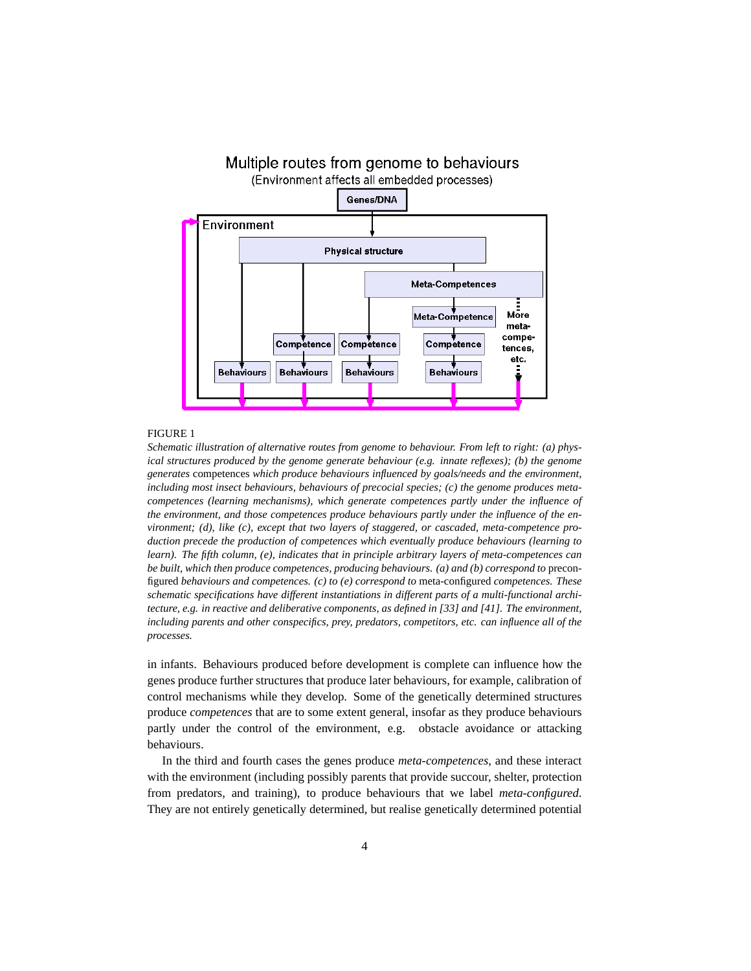

#### FIGURE 1

*Schematic illustration of alternative routes from genome to behaviour. From left to right: (a) physical structures produced by the genome generate behaviour (e.g. innate reflexes); (b) the genome generates* competences *which produce behaviours influenced by goals/needs and the environment, including most insect behaviours, behaviours of precocial species; (c) the genome produces metacompetences (learning mechanisms), which generate competences partly under the influence of the environment, and those competences produce behaviours partly under the influence of the environment; (d), like (c), except that two layers of staggered, or cascaded, meta-competence production precede the production of competences which eventually produce behaviours (learning to learn). The fifth column, (e), indicates that in principle arbitrary layers of meta-competences can be built, which then produce competences, producing behaviours. (a) and (b) correspond to* preconfigured *behaviours and competences. (c) to (e) correspond to* meta-configured *competences. These schematic specifications have different instantiations in different parts of a multi-functional architecture, e.g. in reactive and deliberative components, as defined in [33] and [41]. The environment, including parents and other conspecifics, prey, predators, competitors, etc. can influence all of the processes.*

in infants. Behaviours produced before development is complete can influence how the genes produce further structures that produce later behaviours, for example, calibration of control mechanisms while they develop. Some of the genetically determined structures produce *competences* that are to some extent general, insofar as they produce behaviours partly under the control of the environment, e.g. obstacle avoidance or attacking behaviours.

In the third and fourth cases the genes produce *meta-competences*, and these interact with the environment (including possibly parents that provide succour, shelter, protection from predators, and training), to produce behaviours that we label *meta-configured*. They are not entirely genetically determined, but realise genetically determined potential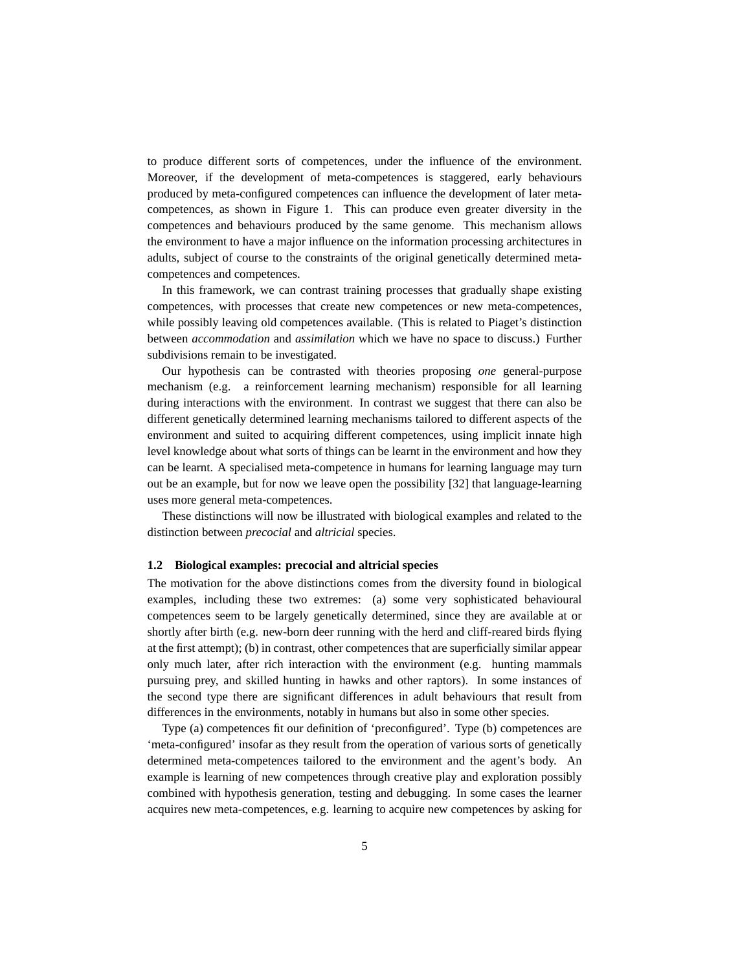to produce different sorts of competences, under the influence of the environment. Moreover, if the development of meta-competences is staggered, early behaviours produced by meta-configured competences can influence the development of later metacompetences, as shown in Figure 1. This can produce even greater diversity in the competences and behaviours produced by the same genome. This mechanism allows the environment to have a major influence on the information processing architectures in adults, subject of course to the constraints of the original genetically determined metacompetences and competences.

In this framework, we can contrast training processes that gradually shape existing competences, with processes that create new competences or new meta-competences, while possibly leaving old competences available. (This is related to Piaget's distinction between *accommodation* and *assimilation* which we have no space to discuss.) Further subdivisions remain to be investigated.

Our hypothesis can be contrasted with theories proposing *one* general-purpose mechanism (e.g. a reinforcement learning mechanism) responsible for all learning during interactions with the environment. In contrast we suggest that there can also be different genetically determined learning mechanisms tailored to different aspects of the environment and suited to acquiring different competences, using implicit innate high level knowledge about what sorts of things can be learnt in the environment and how they can be learnt. A specialised meta-competence in humans for learning language may turn out be an example, but for now we leave open the possibility [32] that language-learning uses more general meta-competences.

These distinctions will now be illustrated with biological examples and related to the distinction between *precocial* and *altricial* species.

#### **1.2 Biological examples: precocial and altricial species**

The motivation for the above distinctions comes from the diversity found in biological examples, including these two extremes: (a) some very sophisticated behavioural competences seem to be largely genetically determined, since they are available at or shortly after birth (e.g. new-born deer running with the herd and cliff-reared birds flying at the first attempt); (b) in contrast, other competences that are superficially similar appear only much later, after rich interaction with the environment (e.g. hunting mammals pursuing prey, and skilled hunting in hawks and other raptors). In some instances of the second type there are significant differences in adult behaviours that result from differences in the environments, notably in humans but also in some other species.

Type (a) competences fit our definition of 'preconfigured'. Type (b) competences are 'meta-configured' insofar as they result from the operation of various sorts of genetically determined meta-competences tailored to the environment and the agent's body. An example is learning of new competences through creative play and exploration possibly combined with hypothesis generation, testing and debugging. In some cases the learner acquires new meta-competences, e.g. learning to acquire new competences by asking for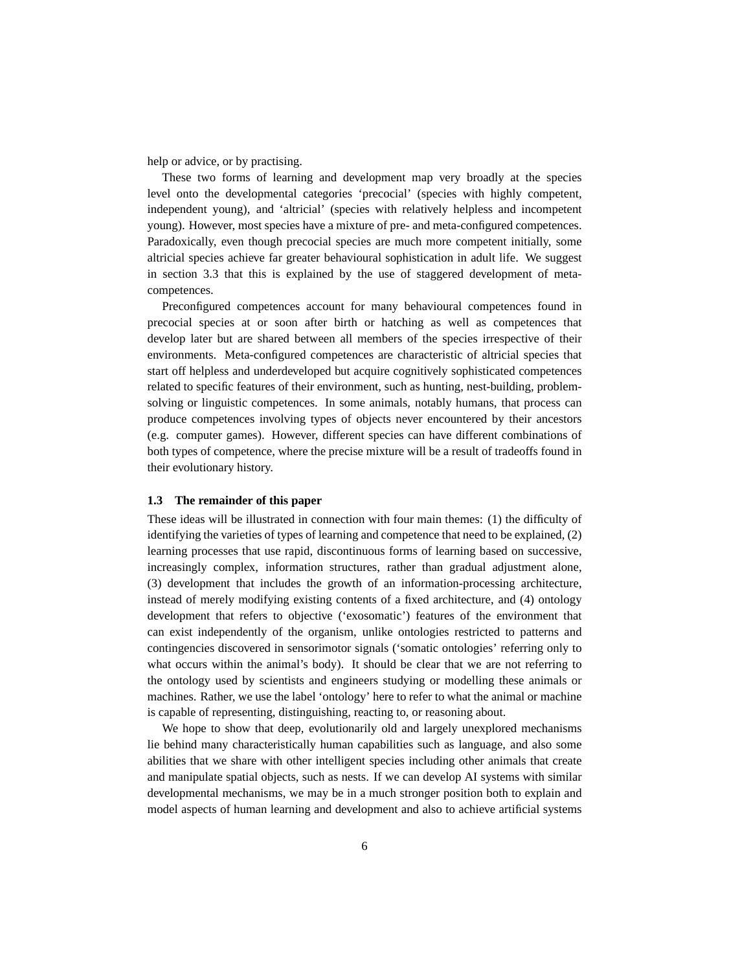help or advice, or by practising.

These two forms of learning and development map very broadly at the species level onto the developmental categories 'precocial' (species with highly competent, independent young), and 'altricial' (species with relatively helpless and incompetent young). However, most species have a mixture of pre- and meta-configured competences. Paradoxically, even though precocial species are much more competent initially, some altricial species achieve far greater behavioural sophistication in adult life. We suggest in section 3.3 that this is explained by the use of staggered development of metacompetences.

Preconfigured competences account for many behavioural competences found in precocial species at or soon after birth or hatching as well as competences that develop later but are shared between all members of the species irrespective of their environments. Meta-configured competences are characteristic of altricial species that start off helpless and underdeveloped but acquire cognitively sophisticated competences related to specific features of their environment, such as hunting, nest-building, problemsolving or linguistic competences. In some animals, notably humans, that process can produce competences involving types of objects never encountered by their ancestors (e.g. computer games). However, different species can have different combinations of both types of competence, where the precise mixture will be a result of tradeoffs found in their evolutionary history.

## **1.3 The remainder of this paper**

These ideas will be illustrated in connection with four main themes: (1) the difficulty of identifying the varieties of types of learning and competence that need to be explained, (2) learning processes that use rapid, discontinuous forms of learning based on successive, increasingly complex, information structures, rather than gradual adjustment alone, (3) development that includes the growth of an information-processing architecture, instead of merely modifying existing contents of a fixed architecture, and (4) ontology development that refers to objective ('exosomatic') features of the environment that can exist independently of the organism, unlike ontologies restricted to patterns and contingencies discovered in sensorimotor signals ('somatic ontologies' referring only to what occurs within the animal's body). It should be clear that we are not referring to the ontology used by scientists and engineers studying or modelling these animals or machines. Rather, we use the label 'ontology' here to refer to what the animal or machine is capable of representing, distinguishing, reacting to, or reasoning about.

We hope to show that deep, evolutionarily old and largely unexplored mechanisms lie behind many characteristically human capabilities such as language, and also some abilities that we share with other intelligent species including other animals that create and manipulate spatial objects, such as nests. If we can develop AI systems with similar developmental mechanisms, we may be in a much stronger position both to explain and model aspects of human learning and development and also to achieve artificial systems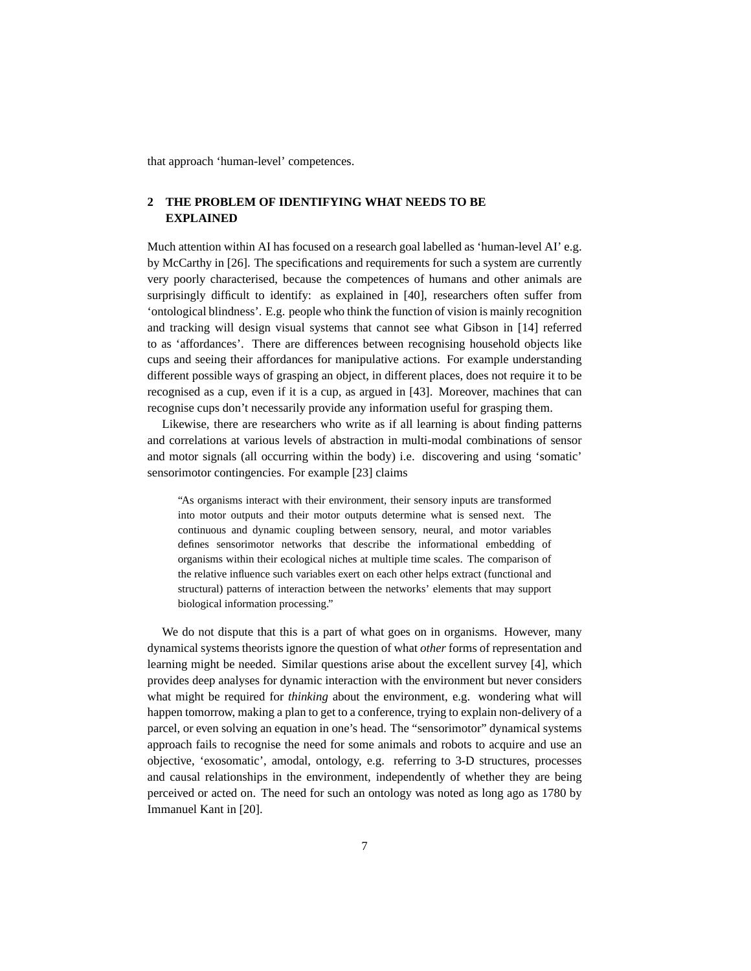that approach 'human-level' competences.

# **2 THE PROBLEM OF IDENTIFYING WHAT NEEDS TO BE EXPLAINED**

Much attention within AI has focused on a research goal labelled as 'human-level AI' e.g. by McCarthy in [26]. The specifications and requirements for such a system are currently very poorly characterised, because the competences of humans and other animals are surprisingly difficult to identify: as explained in [40], researchers often suffer from 'ontological blindness'. E.g. people who think the function of vision is mainly recognition and tracking will design visual systems that cannot see what Gibson in [14] referred to as 'affordances'. There are differences between recognising household objects like cups and seeing their affordances for manipulative actions. For example understanding different possible ways of grasping an object, in different places, does not require it to be recognised as a cup, even if it is a cup, as argued in [43]. Moreover, machines that can recognise cups don't necessarily provide any information useful for grasping them.

Likewise, there are researchers who write as if all learning is about finding patterns and correlations at various levels of abstraction in multi-modal combinations of sensor and motor signals (all occurring within the body) i.e. discovering and using 'somatic' sensorimotor contingencies. For example [23] claims

"As organisms interact with their environment, their sensory inputs are transformed into motor outputs and their motor outputs determine what is sensed next. The continuous and dynamic coupling between sensory, neural, and motor variables defines sensorimotor networks that describe the informational embedding of organisms within their ecological niches at multiple time scales. The comparison of the relative influence such variables exert on each other helps extract (functional and structural) patterns of interaction between the networks' elements that may support biological information processing."

We do not dispute that this is a part of what goes on in organisms. However, many dynamical systems theorists ignore the question of what *other* forms of representation and learning might be needed. Similar questions arise about the excellent survey [4], which provides deep analyses for dynamic interaction with the environment but never considers what might be required for *thinking* about the environment, e.g. wondering what will happen tomorrow, making a plan to get to a conference, trying to explain non-delivery of a parcel, or even solving an equation in one's head. The "sensorimotor" dynamical systems approach fails to recognise the need for some animals and robots to acquire and use an objective, 'exosomatic', amodal, ontology, e.g. referring to 3-D structures, processes and causal relationships in the environment, independently of whether they are being perceived or acted on. The need for such an ontology was noted as long ago as 1780 by Immanuel Kant in [20].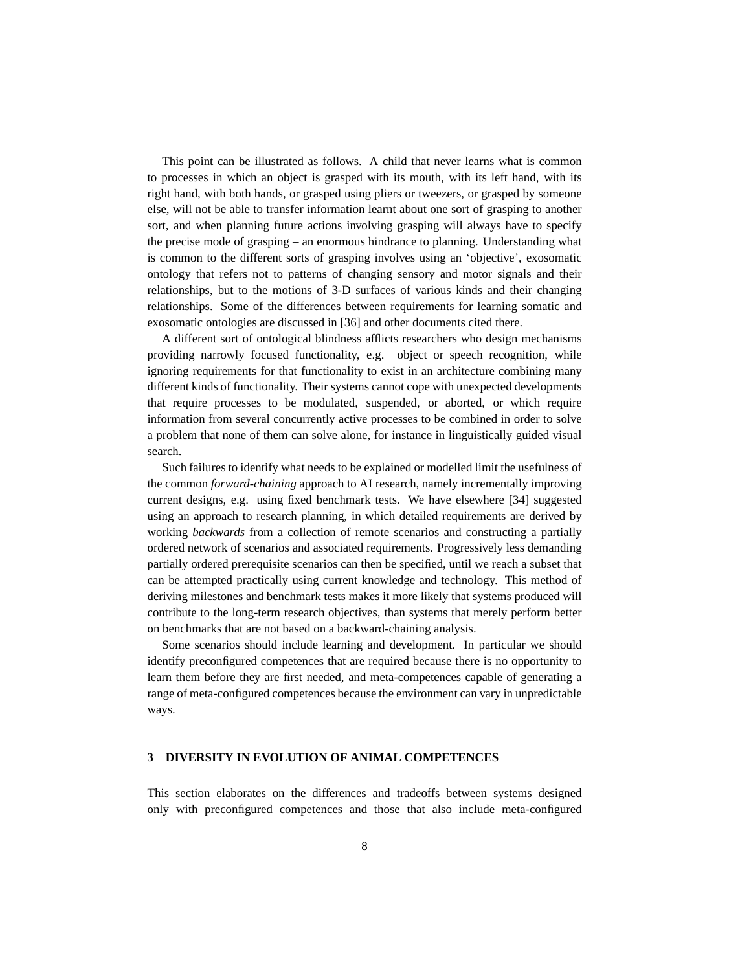This point can be illustrated as follows. A child that never learns what is common to processes in which an object is grasped with its mouth, with its left hand, with its right hand, with both hands, or grasped using pliers or tweezers, or grasped by someone else, will not be able to transfer information learnt about one sort of grasping to another sort, and when planning future actions involving grasping will always have to specify the precise mode of grasping – an enormous hindrance to planning. Understanding what is common to the different sorts of grasping involves using an 'objective', exosomatic ontology that refers not to patterns of changing sensory and motor signals and their relationships, but to the motions of 3-D surfaces of various kinds and their changing relationships. Some of the differences between requirements for learning somatic and exosomatic ontologies are discussed in [36] and other documents cited there.

A different sort of ontological blindness afflicts researchers who design mechanisms providing narrowly focused functionality, e.g. object or speech recognition, while ignoring requirements for that functionality to exist in an architecture combining many different kinds of functionality. Their systems cannot cope with unexpected developments that require processes to be modulated, suspended, or aborted, or which require information from several concurrently active processes to be combined in order to solve a problem that none of them can solve alone, for instance in linguistically guided visual search.

Such failures to identify what needs to be explained or modelled limit the usefulness of the common *forward-chaining* approach to AI research, namely incrementally improving current designs, e.g. using fixed benchmark tests. We have elsewhere [34] suggested using an approach to research planning, in which detailed requirements are derived by working *backwards* from a collection of remote scenarios and constructing a partially ordered network of scenarios and associated requirements. Progressively less demanding partially ordered prerequisite scenarios can then be specified, until we reach a subset that can be attempted practically using current knowledge and technology. This method of deriving milestones and benchmark tests makes it more likely that systems produced will contribute to the long-term research objectives, than systems that merely perform better on benchmarks that are not based on a backward-chaining analysis.

Some scenarios should include learning and development. In particular we should identify preconfigured competences that are required because there is no opportunity to learn them before they are first needed, and meta-competences capable of generating a range of meta-configured competences because the environment can vary in unpredictable ways.

#### **3 DIVERSITY IN EVOLUTION OF ANIMAL COMPETENCES**

This section elaborates on the differences and tradeoffs between systems designed only with preconfigured competences and those that also include meta-configured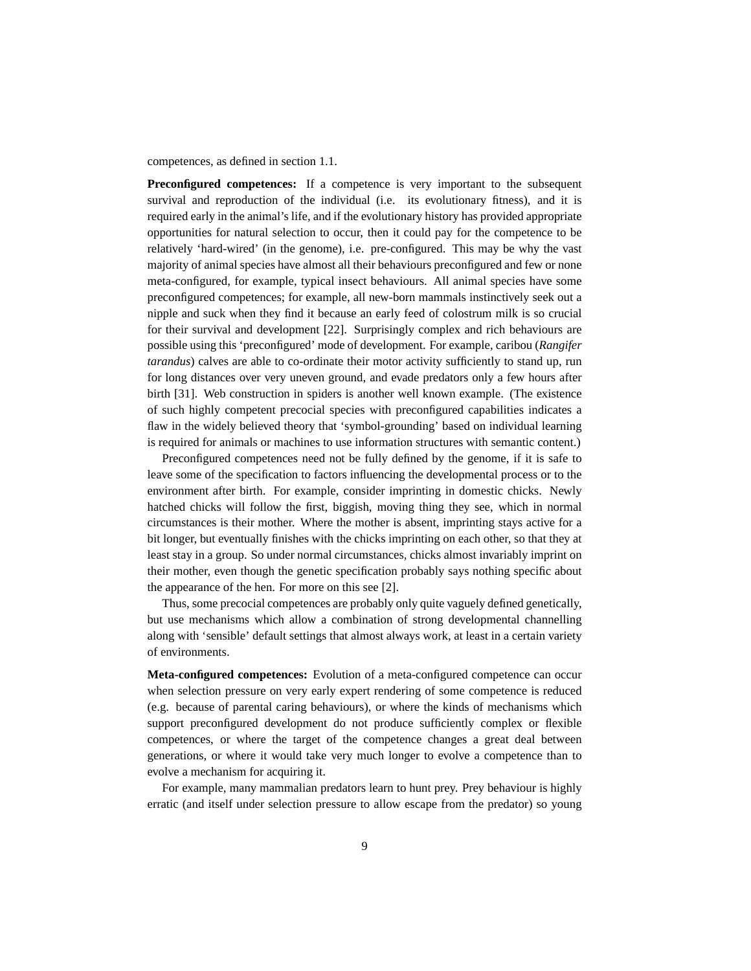competences, as defined in section 1.1.

**Preconfigured competences:** If a competence is very important to the subsequent survival and reproduction of the individual (i.e. its evolutionary fitness), and it is required early in the animal's life, and if the evolutionary history has provided appropriate opportunities for natural selection to occur, then it could pay for the competence to be relatively 'hard-wired' (in the genome), i.e. pre-configured. This may be why the vast majority of animal species have almost all their behaviours preconfigured and few or none meta-configured, for example, typical insect behaviours. All animal species have some preconfigured competences; for example, all new-born mammals instinctively seek out a nipple and suck when they find it because an early feed of colostrum milk is so crucial for their survival and development [22]. Surprisingly complex and rich behaviours are possible using this 'preconfigured' mode of development. For example, caribou (*Rangifer tarandus*) calves are able to co-ordinate their motor activity sufficiently to stand up, run for long distances over very uneven ground, and evade predators only a few hours after birth [31]. Web construction in spiders is another well known example. (The existence of such highly competent precocial species with preconfigured capabilities indicates a flaw in the widely believed theory that 'symbol-grounding' based on individual learning is required for animals or machines to use information structures with semantic content.)

Preconfigured competences need not be fully defined by the genome, if it is safe to leave some of the specification to factors influencing the developmental process or to the environment after birth. For example, consider imprinting in domestic chicks. Newly hatched chicks will follow the first, biggish, moving thing they see, which in normal circumstances is their mother. Where the mother is absent, imprinting stays active for a bit longer, but eventually finishes with the chicks imprinting on each other, so that they at least stay in a group. So under normal circumstances, chicks almost invariably imprint on their mother, even though the genetic specification probably says nothing specific about the appearance of the hen. For more on this see [2].

Thus, some precocial competences are probably only quite vaguely defined genetically, but use mechanisms which allow a combination of strong developmental channelling along with 'sensible' default settings that almost always work, at least in a certain variety of environments.

**Meta-configured competences:** Evolution of a meta-configured competence can occur when selection pressure on very early expert rendering of some competence is reduced (e.g. because of parental caring behaviours), or where the kinds of mechanisms which support preconfigured development do not produce sufficiently complex or flexible competences, or where the target of the competence changes a great deal between generations, or where it would take very much longer to evolve a competence than to evolve a mechanism for acquiring it.

For example, many mammalian predators learn to hunt prey. Prey behaviour is highly erratic (and itself under selection pressure to allow escape from the predator) so young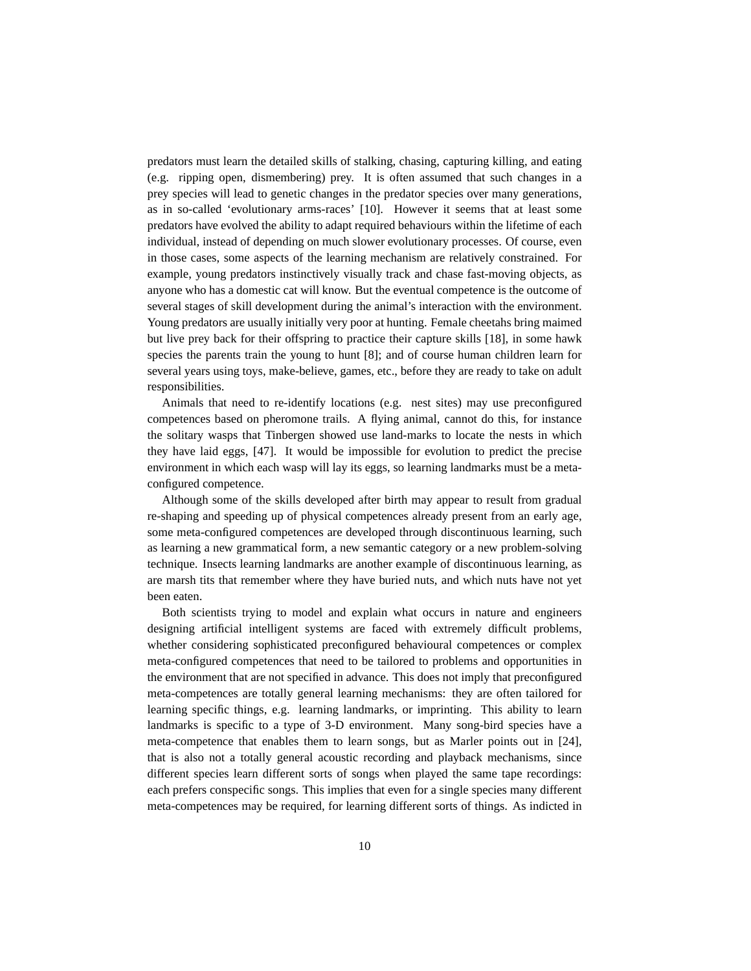predators must learn the detailed skills of stalking, chasing, capturing killing, and eating (e.g. ripping open, dismembering) prey. It is often assumed that such changes in a prey species will lead to genetic changes in the predator species over many generations, as in so-called 'evolutionary arms-races' [10]. However it seems that at least some predators have evolved the ability to adapt required behaviours within the lifetime of each individual, instead of depending on much slower evolutionary processes. Of course, even in those cases, some aspects of the learning mechanism are relatively constrained. For example, young predators instinctively visually track and chase fast-moving objects, as anyone who has a domestic cat will know. But the eventual competence is the outcome of several stages of skill development during the animal's interaction with the environment. Young predators are usually initially very poor at hunting. Female cheetahs bring maimed but live prey back for their offspring to practice their capture skills [18], in some hawk species the parents train the young to hunt [8]; and of course human children learn for several years using toys, make-believe, games, etc., before they are ready to take on adult responsibilities.

Animals that need to re-identify locations (e.g. nest sites) may use preconfigured competences based on pheromone trails. A flying animal, cannot do this, for instance the solitary wasps that Tinbergen showed use land-marks to locate the nests in which they have laid eggs, [47]. It would be impossible for evolution to predict the precise environment in which each wasp will lay its eggs, so learning landmarks must be a metaconfigured competence.

Although some of the skills developed after birth may appear to result from gradual re-shaping and speeding up of physical competences already present from an early age, some meta-configured competences are developed through discontinuous learning, such as learning a new grammatical form, a new semantic category or a new problem-solving technique. Insects learning landmarks are another example of discontinuous learning, as are marsh tits that remember where they have buried nuts, and which nuts have not yet been eaten.

Both scientists trying to model and explain what occurs in nature and engineers designing artificial intelligent systems are faced with extremely difficult problems, whether considering sophisticated preconfigured behavioural competences or complex meta-configured competences that need to be tailored to problems and opportunities in the environment that are not specified in advance. This does not imply that preconfigured meta-competences are totally general learning mechanisms: they are often tailored for learning specific things, e.g. learning landmarks, or imprinting. This ability to learn landmarks is specific to a type of 3-D environment. Many song-bird species have a meta-competence that enables them to learn songs, but as Marler points out in [24], that is also not a totally general acoustic recording and playback mechanisms, since different species learn different sorts of songs when played the same tape recordings: each prefers conspecific songs. This implies that even for a single species many different meta-competences may be required, for learning different sorts of things. As indicted in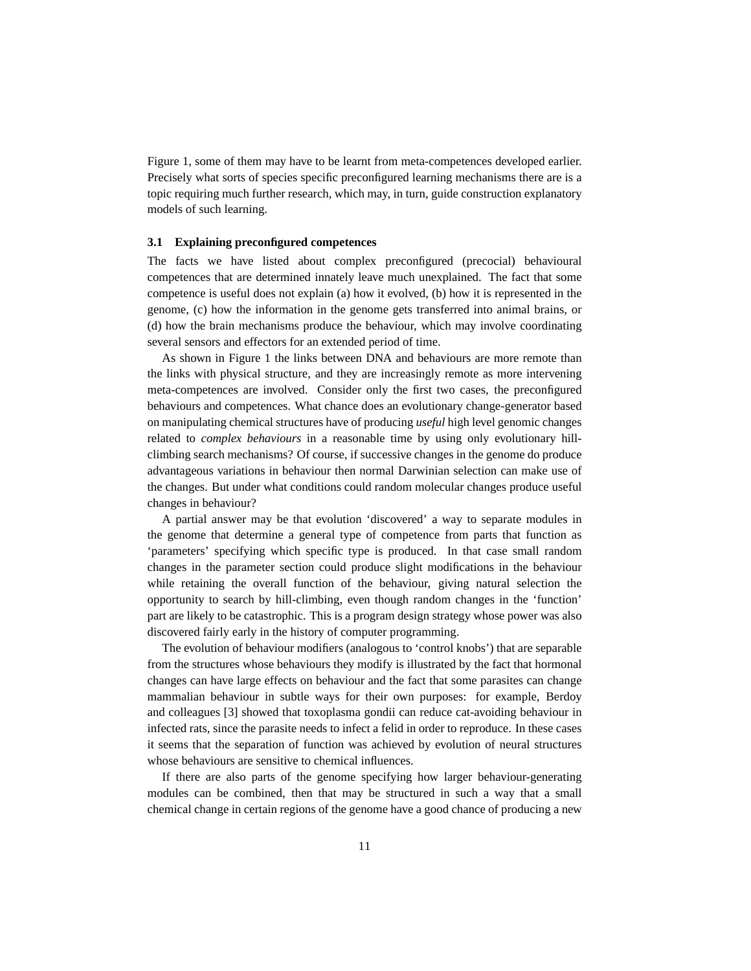Figure 1, some of them may have to be learnt from meta-competences developed earlier. Precisely what sorts of species specific preconfigured learning mechanisms there are is a topic requiring much further research, which may, in turn, guide construction explanatory models of such learning.

#### **3.1 Explaining preconfigured competences**

The facts we have listed about complex preconfigured (precocial) behavioural competences that are determined innately leave much unexplained. The fact that some competence is useful does not explain (a) how it evolved, (b) how it is represented in the genome, (c) how the information in the genome gets transferred into animal brains, or (d) how the brain mechanisms produce the behaviour, which may involve coordinating several sensors and effectors for an extended period of time.

As shown in Figure 1 the links between DNA and behaviours are more remote than the links with physical structure, and they are increasingly remote as more intervening meta-competences are involved. Consider only the first two cases, the preconfigured behaviours and competences. What chance does an evolutionary change-generator based on manipulating chemical structures have of producing *useful* high level genomic changes related to *complex behaviours* in a reasonable time by using only evolutionary hillclimbing search mechanisms? Of course, if successive changes in the genome do produce advantageous variations in behaviour then normal Darwinian selection can make use of the changes. But under what conditions could random molecular changes produce useful changes in behaviour?

A partial answer may be that evolution 'discovered' a way to separate modules in the genome that determine a general type of competence from parts that function as 'parameters' specifying which specific type is produced. In that case small random changes in the parameter section could produce slight modifications in the behaviour while retaining the overall function of the behaviour, giving natural selection the opportunity to search by hill-climbing, even though random changes in the 'function' part are likely to be catastrophic. This is a program design strategy whose power was also discovered fairly early in the history of computer programming.

The evolution of behaviour modifiers (analogous to 'control knobs') that are separable from the structures whose behaviours they modify is illustrated by the fact that hormonal changes can have large effects on behaviour and the fact that some parasites can change mammalian behaviour in subtle ways for their own purposes: for example, Berdoy and colleagues [3] showed that toxoplasma gondii can reduce cat-avoiding behaviour in infected rats, since the parasite needs to infect a felid in order to reproduce. In these cases it seems that the separation of function was achieved by evolution of neural structures whose behaviours are sensitive to chemical influences.

If there are also parts of the genome specifying how larger behaviour-generating modules can be combined, then that may be structured in such a way that a small chemical change in certain regions of the genome have a good chance of producing a new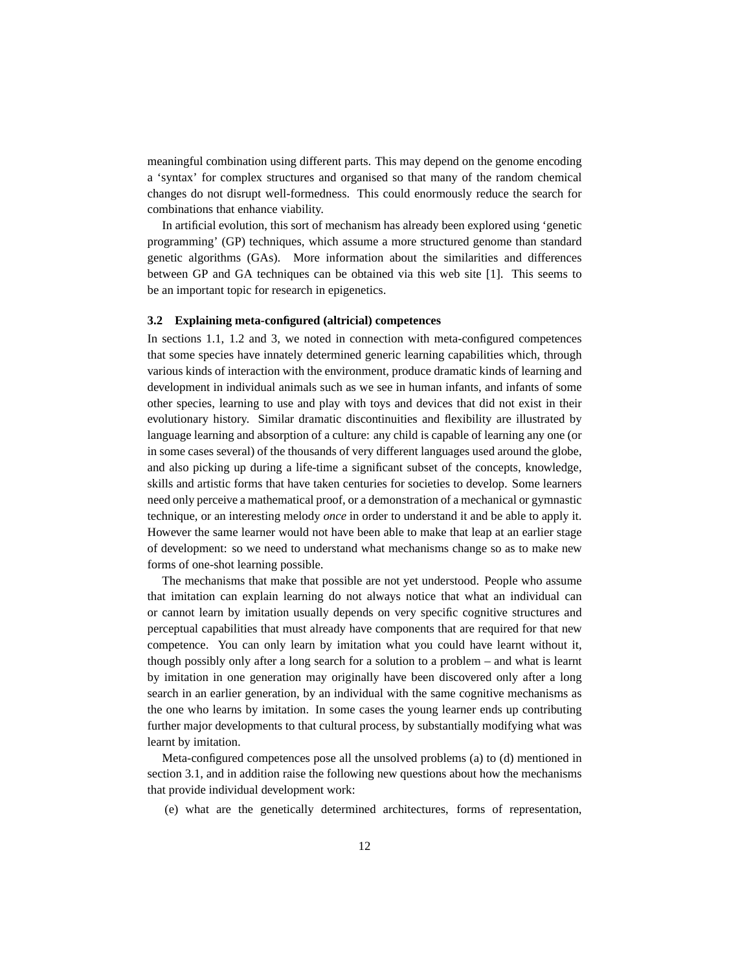meaningful combination using different parts. This may depend on the genome encoding a 'syntax' for complex structures and organised so that many of the random chemical changes do not disrupt well-formedness. This could enormously reduce the search for combinations that enhance viability.

In artificial evolution, this sort of mechanism has already been explored using 'genetic programming' (GP) techniques, which assume a more structured genome than standard genetic algorithms (GAs). More information about the similarities and differences between GP and GA techniques can be obtained via this web site [1]. This seems to be an important topic for research in epigenetics.

#### **3.2 Explaining meta-configured (altricial) competences**

In sections 1.1, 1.2 and 3, we noted in connection with meta-configured competences that some species have innately determined generic learning capabilities which, through various kinds of interaction with the environment, produce dramatic kinds of learning and development in individual animals such as we see in human infants, and infants of some other species, learning to use and play with toys and devices that did not exist in their evolutionary history. Similar dramatic discontinuities and flexibility are illustrated by language learning and absorption of a culture: any child is capable of learning any one (or in some cases several) of the thousands of very different languages used around the globe, and also picking up during a life-time a significant subset of the concepts, knowledge, skills and artistic forms that have taken centuries for societies to develop. Some learners need only perceive a mathematical proof, or a demonstration of a mechanical or gymnastic technique, or an interesting melody *once* in order to understand it and be able to apply it. However the same learner would not have been able to make that leap at an earlier stage of development: so we need to understand what mechanisms change so as to make new forms of one-shot learning possible.

The mechanisms that make that possible are not yet understood. People who assume that imitation can explain learning do not always notice that what an individual can or cannot learn by imitation usually depends on very specific cognitive structures and perceptual capabilities that must already have components that are required for that new competence. You can only learn by imitation what you could have learnt without it, though possibly only after a long search for a solution to a problem – and what is learnt by imitation in one generation may originally have been discovered only after a long search in an earlier generation, by an individual with the same cognitive mechanisms as the one who learns by imitation. In some cases the young learner ends up contributing further major developments to that cultural process, by substantially modifying what was learnt by imitation.

Meta-configured competences pose all the unsolved problems (a) to (d) mentioned in section 3.1, and in addition raise the following new questions about how the mechanisms that provide individual development work:

(e) what are the genetically determined architectures, forms of representation,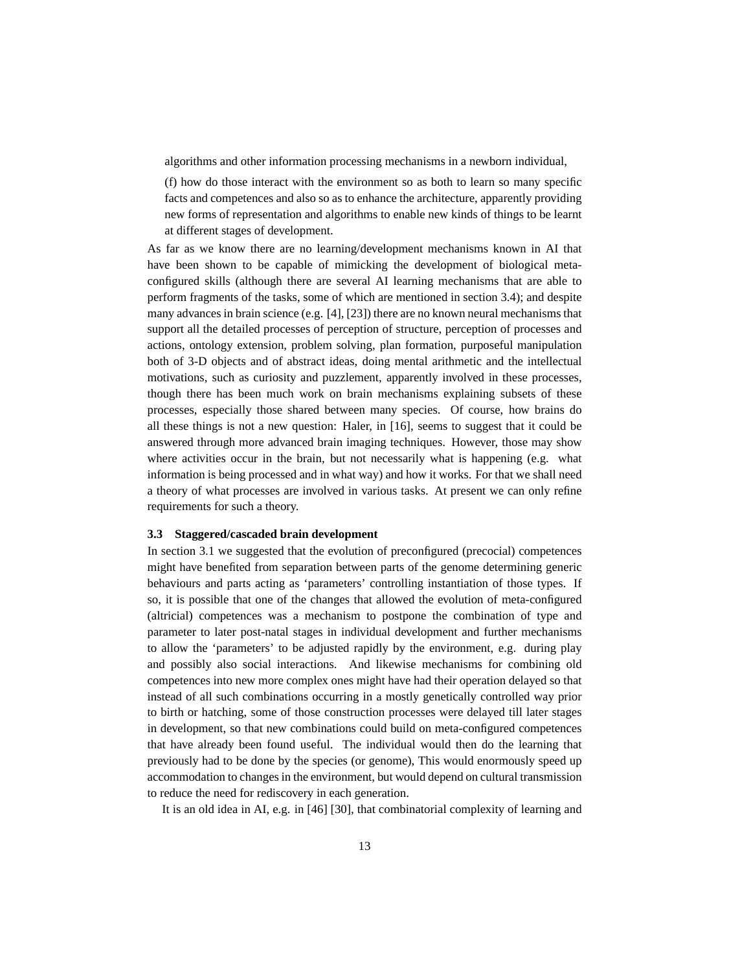algorithms and other information processing mechanisms in a newborn individual,

(f) how do those interact with the environment so as both to learn so many specific facts and competences and also so as to enhance the architecture, apparently providing new forms of representation and algorithms to enable new kinds of things to be learnt at different stages of development.

As far as we know there are no learning/development mechanisms known in AI that have been shown to be capable of mimicking the development of biological metaconfigured skills (although there are several AI learning mechanisms that are able to perform fragments of the tasks, some of which are mentioned in section 3.4); and despite many advances in brain science (e.g.  $[4]$ ,  $[23]$ ) there are no known neural mechanisms that support all the detailed processes of perception of structure, perception of processes and actions, ontology extension, problem solving, plan formation, purposeful manipulation both of 3-D objects and of abstract ideas, doing mental arithmetic and the intellectual motivations, such as curiosity and puzzlement, apparently involved in these processes, though there has been much work on brain mechanisms explaining subsets of these processes, especially those shared between many species. Of course, how brains do all these things is not a new question: Haler, in [16], seems to suggest that it could be answered through more advanced brain imaging techniques. However, those may show where activities occur in the brain, but not necessarily what is happening (e.g. what information is being processed and in what way) and how it works. For that we shall need a theory of what processes are involved in various tasks. At present we can only refine requirements for such a theory.

#### **3.3 Staggered/cascaded brain development**

In section 3.1 we suggested that the evolution of preconfigured (precocial) competences might have benefited from separation between parts of the genome determining generic behaviours and parts acting as 'parameters' controlling instantiation of those types. If so, it is possible that one of the changes that allowed the evolution of meta-configured (altricial) competences was a mechanism to postpone the combination of type and parameter to later post-natal stages in individual development and further mechanisms to allow the 'parameters' to be adjusted rapidly by the environment, e.g. during play and possibly also social interactions. And likewise mechanisms for combining old competences into new more complex ones might have had their operation delayed so that instead of all such combinations occurring in a mostly genetically controlled way prior to birth or hatching, some of those construction processes were delayed till later stages in development, so that new combinations could build on meta-configured competences that have already been found useful. The individual would then do the learning that previously had to be done by the species (or genome), This would enormously speed up accommodation to changes in the environment, but would depend on cultural transmission to reduce the need for rediscovery in each generation.

It is an old idea in AI, e.g. in [46] [30], that combinatorial complexity of learning and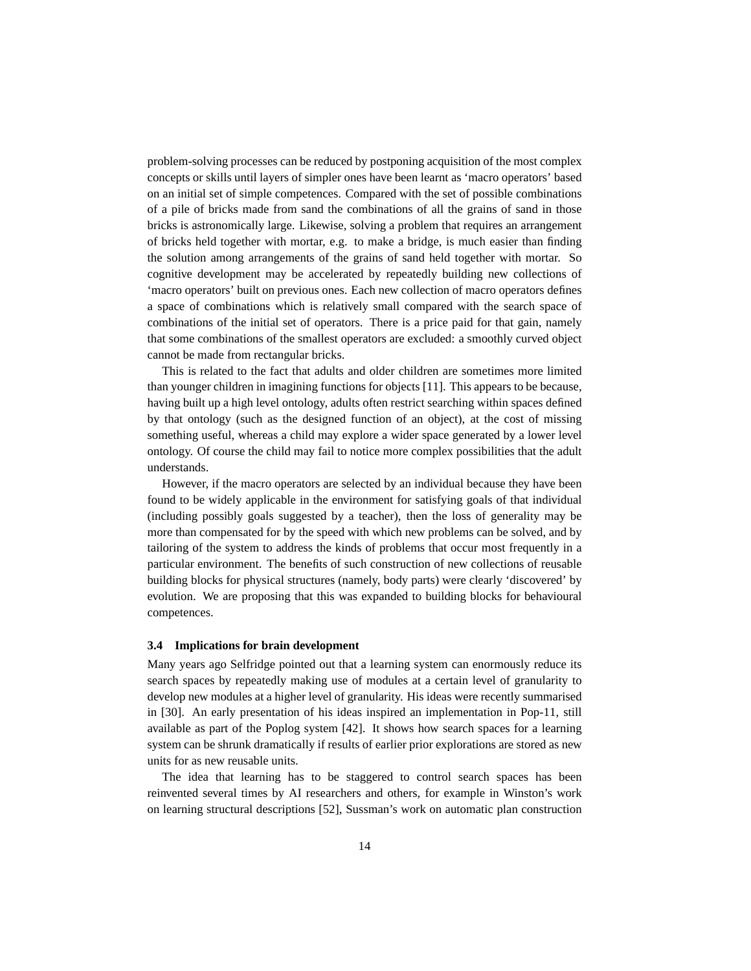problem-solving processes can be reduced by postponing acquisition of the most complex concepts or skills until layers of simpler ones have been learnt as 'macro operators' based on an initial set of simple competences. Compared with the set of possible combinations of a pile of bricks made from sand the combinations of all the grains of sand in those bricks is astronomically large. Likewise, solving a problem that requires an arrangement of bricks held together with mortar, e.g. to make a bridge, is much easier than finding the solution among arrangements of the grains of sand held together with mortar. So cognitive development may be accelerated by repeatedly building new collections of 'macro operators' built on previous ones. Each new collection of macro operators defines a space of combinations which is relatively small compared with the search space of combinations of the initial set of operators. There is a price paid for that gain, namely that some combinations of the smallest operators are excluded: a smoothly curved object cannot be made from rectangular bricks.

This is related to the fact that adults and older children are sometimes more limited than younger children in imagining functions for objects [11]. This appears to be because, having built up a high level ontology, adults often restrict searching within spaces defined by that ontology (such as the designed function of an object), at the cost of missing something useful, whereas a child may explore a wider space generated by a lower level ontology. Of course the child may fail to notice more complex possibilities that the adult understands.

However, if the macro operators are selected by an individual because they have been found to be widely applicable in the environment for satisfying goals of that individual (including possibly goals suggested by a teacher), then the loss of generality may be more than compensated for by the speed with which new problems can be solved, and by tailoring of the system to address the kinds of problems that occur most frequently in a particular environment. The benefits of such construction of new collections of reusable building blocks for physical structures (namely, body parts) were clearly 'discovered' by evolution. We are proposing that this was expanded to building blocks for behavioural competences.

#### **3.4 Implications for brain development**

Many years ago Selfridge pointed out that a learning system can enormously reduce its search spaces by repeatedly making use of modules at a certain level of granularity to develop new modules at a higher level of granularity. His ideas were recently summarised in [30]. An early presentation of his ideas inspired an implementation in Pop-11, still available as part of the Poplog system [42]. It shows how search spaces for a learning system can be shrunk dramatically if results of earlier prior explorations are stored as new units for as new reusable units.

The idea that learning has to be staggered to control search spaces has been reinvented several times by AI researchers and others, for example in Winston's work on learning structural descriptions [52], Sussman's work on automatic plan construction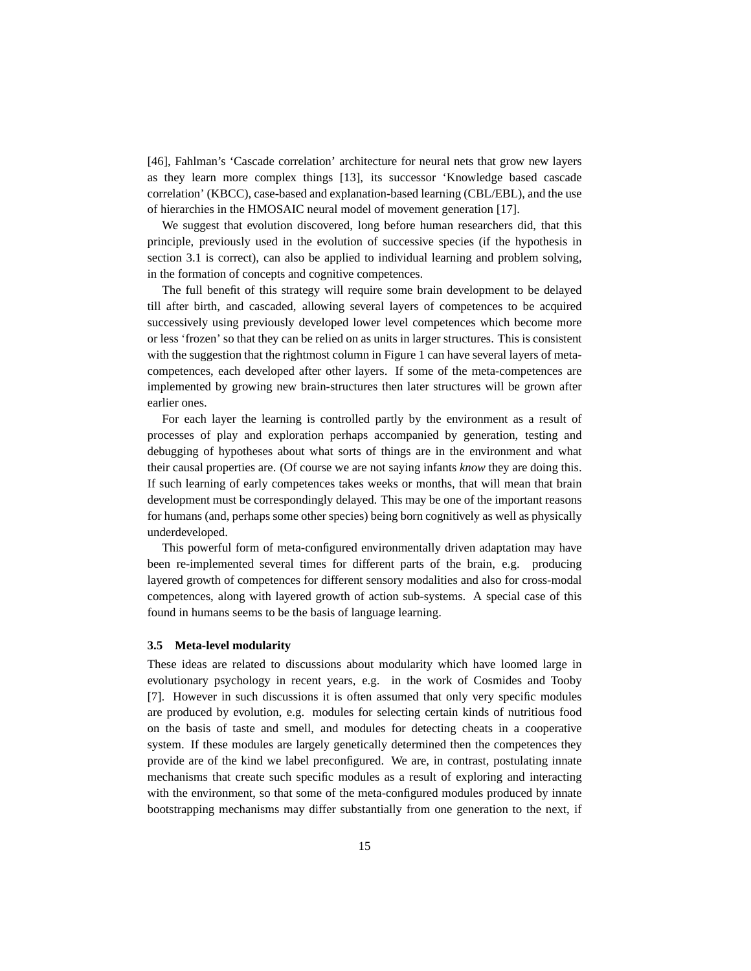[46], Fahlman's 'Cascade correlation' architecture for neural nets that grow new layers as they learn more complex things [13], its successor 'Knowledge based cascade correlation' (KBCC), case-based and explanation-based learning (CBL/EBL), and the use of hierarchies in the HMOSAIC neural model of movement generation [17].

We suggest that evolution discovered, long before human researchers did, that this principle, previously used in the evolution of successive species (if the hypothesis in section 3.1 is correct), can also be applied to individual learning and problem solving, in the formation of concepts and cognitive competences.

The full benefit of this strategy will require some brain development to be delayed till after birth, and cascaded, allowing several layers of competences to be acquired successively using previously developed lower level competences which become more or less 'frozen' so that they can be relied on as units in larger structures. This is consistent with the suggestion that the rightmost column in Figure 1 can have several layers of metacompetences, each developed after other layers. If some of the meta-competences are implemented by growing new brain-structures then later structures will be grown after earlier ones.

For each layer the learning is controlled partly by the environment as a result of processes of play and exploration perhaps accompanied by generation, testing and debugging of hypotheses about what sorts of things are in the environment and what their causal properties are. (Of course we are not saying infants *know* they are doing this. If such learning of early competences takes weeks or months, that will mean that brain development must be correspondingly delayed. This may be one of the important reasons for humans (and, perhaps some other species) being born cognitively as well as physically underdeveloped.

This powerful form of meta-configured environmentally driven adaptation may have been re-implemented several times for different parts of the brain, e.g. producing layered growth of competences for different sensory modalities and also for cross-modal competences, along with layered growth of action sub-systems. A special case of this found in humans seems to be the basis of language learning.

#### **3.5 Meta-level modularity**

These ideas are related to discussions about modularity which have loomed large in evolutionary psychology in recent years, e.g. in the work of Cosmides and Tooby [7]. However in such discussions it is often assumed that only very specific modules are produced by evolution, e.g. modules for selecting certain kinds of nutritious food on the basis of taste and smell, and modules for detecting cheats in a cooperative system. If these modules are largely genetically determined then the competences they provide are of the kind we label preconfigured. We are, in contrast, postulating innate mechanisms that create such specific modules as a result of exploring and interacting with the environment, so that some of the meta-configured modules produced by innate bootstrapping mechanisms may differ substantially from one generation to the next, if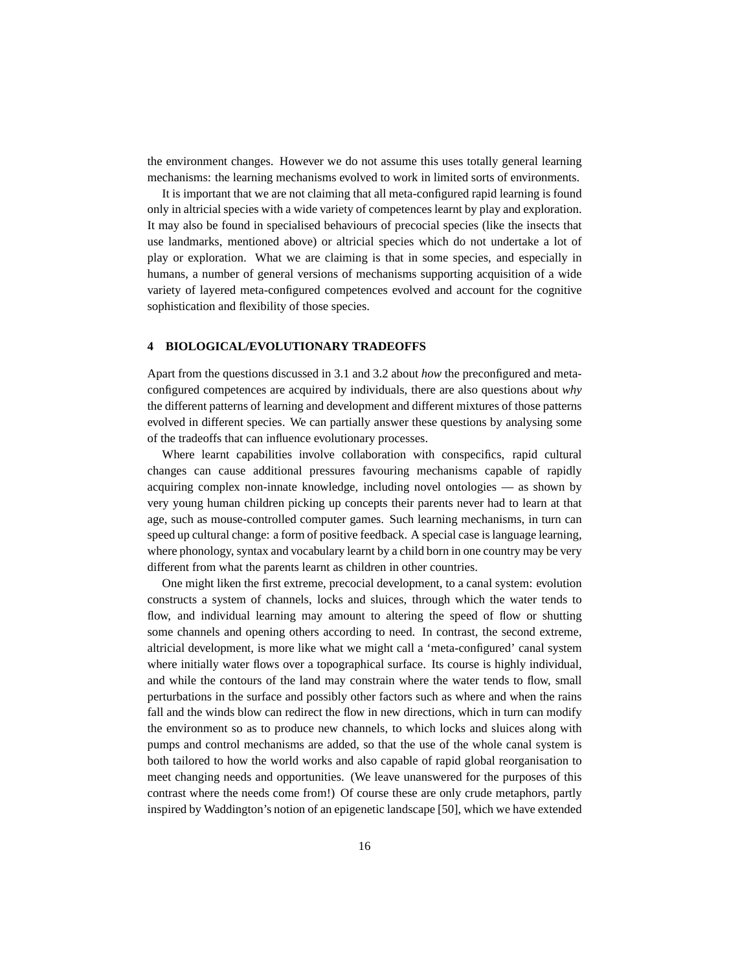the environment changes. However we do not assume this uses totally general learning mechanisms: the learning mechanisms evolved to work in limited sorts of environments.

It is important that we are not claiming that all meta-configured rapid learning is found only in altricial species with a wide variety of competences learnt by play and exploration. It may also be found in specialised behaviours of precocial species (like the insects that use landmarks, mentioned above) or altricial species which do not undertake a lot of play or exploration. What we are claiming is that in some species, and especially in humans, a number of general versions of mechanisms supporting acquisition of a wide variety of layered meta-configured competences evolved and account for the cognitive sophistication and flexibility of those species.

#### **4 BIOLOGICAL/EVOLUTIONARY TRADEOFFS**

Apart from the questions discussed in 3.1 and 3.2 about *how* the preconfigured and metaconfigured competences are acquired by individuals, there are also questions about *why* the different patterns of learning and development and different mixtures of those patterns evolved in different species. We can partially answer these questions by analysing some of the tradeoffs that can influence evolutionary processes.

Where learnt capabilities involve collaboration with conspecifics, rapid cultural changes can cause additional pressures favouring mechanisms capable of rapidly acquiring complex non-innate knowledge, including novel ontologies — as shown by very young human children picking up concepts their parents never had to learn at that age, such as mouse-controlled computer games. Such learning mechanisms, in turn can speed up cultural change: a form of positive feedback. A special case is language learning, where phonology, syntax and vocabulary learnt by a child born in one country may be very different from what the parents learnt as children in other countries.

One might liken the first extreme, precocial development, to a canal system: evolution constructs a system of channels, locks and sluices, through which the water tends to flow, and individual learning may amount to altering the speed of flow or shutting some channels and opening others according to need. In contrast, the second extreme, altricial development, is more like what we might call a 'meta-configured' canal system where initially water flows over a topographical surface. Its course is highly individual, and while the contours of the land may constrain where the water tends to flow, small perturbations in the surface and possibly other factors such as where and when the rains fall and the winds blow can redirect the flow in new directions, which in turn can modify the environment so as to produce new channels, to which locks and sluices along with pumps and control mechanisms are added, so that the use of the whole canal system is both tailored to how the world works and also capable of rapid global reorganisation to meet changing needs and opportunities. (We leave unanswered for the purposes of this contrast where the needs come from!) Of course these are only crude metaphors, partly inspired by Waddington's notion of an epigenetic landscape [50], which we have extended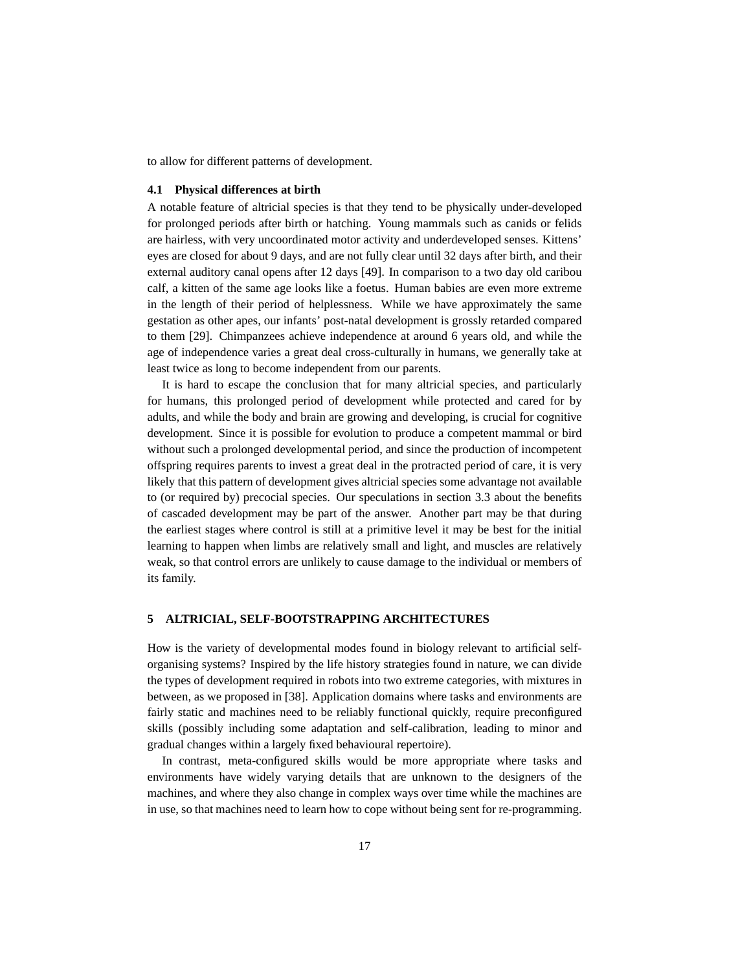to allow for different patterns of development.

#### **4.1 Physical differences at birth**

A notable feature of altricial species is that they tend to be physically under-developed for prolonged periods after birth or hatching. Young mammals such as canids or felids are hairless, with very uncoordinated motor activity and underdeveloped senses. Kittens' eyes are closed for about 9 days, and are not fully clear until 32 days after birth, and their external auditory canal opens after 12 days [49]. In comparison to a two day old caribou calf, a kitten of the same age looks like a foetus. Human babies are even more extreme in the length of their period of helplessness. While we have approximately the same gestation as other apes, our infants' post-natal development is grossly retarded compared to them [29]. Chimpanzees achieve independence at around 6 years old, and while the age of independence varies a great deal cross-culturally in humans, we generally take at least twice as long to become independent from our parents.

It is hard to escape the conclusion that for many altricial species, and particularly for humans, this prolonged period of development while protected and cared for by adults, and while the body and brain are growing and developing, is crucial for cognitive development. Since it is possible for evolution to produce a competent mammal or bird without such a prolonged developmental period, and since the production of incompetent offspring requires parents to invest a great deal in the protracted period of care, it is very likely that this pattern of development gives altricial species some advantage not available to (or required by) precocial species. Our speculations in section 3.3 about the benefits of cascaded development may be part of the answer. Another part may be that during the earliest stages where control is still at a primitive level it may be best for the initial learning to happen when limbs are relatively small and light, and muscles are relatively weak, so that control errors are unlikely to cause damage to the individual or members of its family.

## **5 ALTRICIAL, SELF-BOOTSTRAPPING ARCHITECTURES**

How is the variety of developmental modes found in biology relevant to artificial selforganising systems? Inspired by the life history strategies found in nature, we can divide the types of development required in robots into two extreme categories, with mixtures in between, as we proposed in [38]. Application domains where tasks and environments are fairly static and machines need to be reliably functional quickly, require preconfigured skills (possibly including some adaptation and self-calibration, leading to minor and gradual changes within a largely fixed behavioural repertoire).

In contrast, meta-configured skills would be more appropriate where tasks and environments have widely varying details that are unknown to the designers of the machines, and where they also change in complex ways over time while the machines are in use, so that machines need to learn how to cope without being sent for re-programming.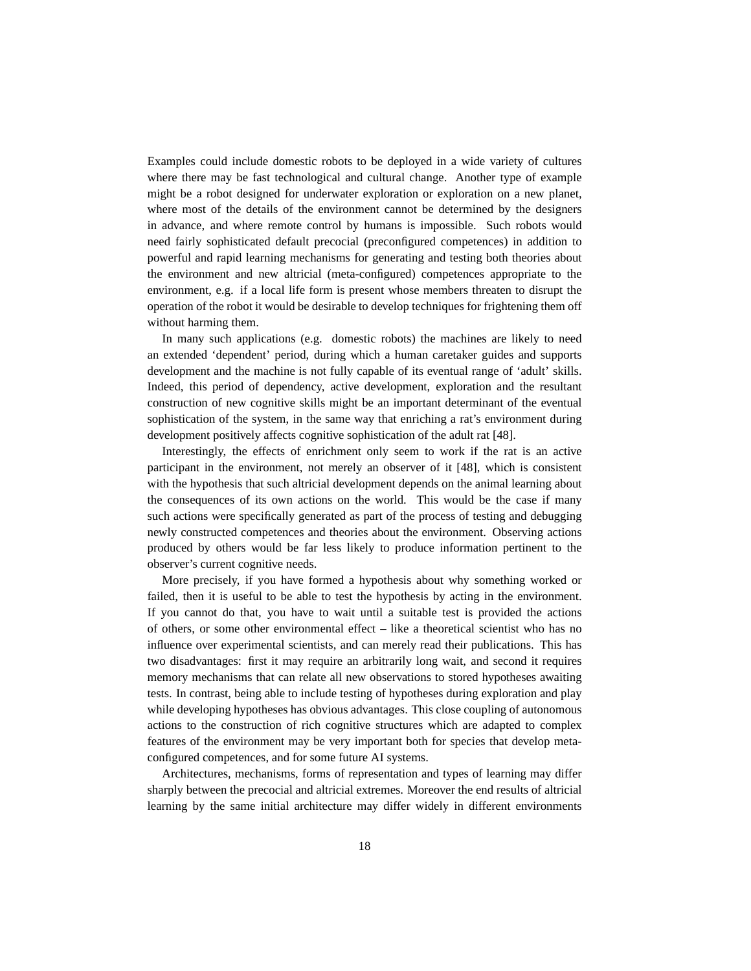Examples could include domestic robots to be deployed in a wide variety of cultures where there may be fast technological and cultural change. Another type of example might be a robot designed for underwater exploration or exploration on a new planet, where most of the details of the environment cannot be determined by the designers in advance, and where remote control by humans is impossible. Such robots would need fairly sophisticated default precocial (preconfigured competences) in addition to powerful and rapid learning mechanisms for generating and testing both theories about the environment and new altricial (meta-configured) competences appropriate to the environment, e.g. if a local life form is present whose members threaten to disrupt the operation of the robot it would be desirable to develop techniques for frightening them off without harming them.

In many such applications (e.g. domestic robots) the machines are likely to need an extended 'dependent' period, during which a human caretaker guides and supports development and the machine is not fully capable of its eventual range of 'adult' skills. Indeed, this period of dependency, active development, exploration and the resultant construction of new cognitive skills might be an important determinant of the eventual sophistication of the system, in the same way that enriching a rat's environment during development positively affects cognitive sophistication of the adult rat [48].

Interestingly, the effects of enrichment only seem to work if the rat is an active participant in the environment, not merely an observer of it [48], which is consistent with the hypothesis that such altricial development depends on the animal learning about the consequences of its own actions on the world. This would be the case if many such actions were specifically generated as part of the process of testing and debugging newly constructed competences and theories about the environment. Observing actions produced by others would be far less likely to produce information pertinent to the observer's current cognitive needs.

More precisely, if you have formed a hypothesis about why something worked or failed, then it is useful to be able to test the hypothesis by acting in the environment. If you cannot do that, you have to wait until a suitable test is provided the actions of others, or some other environmental effect – like a theoretical scientist who has no influence over experimental scientists, and can merely read their publications. This has two disadvantages: first it may require an arbitrarily long wait, and second it requires memory mechanisms that can relate all new observations to stored hypotheses awaiting tests. In contrast, being able to include testing of hypotheses during exploration and play while developing hypotheses has obvious advantages. This close coupling of autonomous actions to the construction of rich cognitive structures which are adapted to complex features of the environment may be very important both for species that develop metaconfigured competences, and for some future AI systems.

Architectures, mechanisms, forms of representation and types of learning may differ sharply between the precocial and altricial extremes. Moreover the end results of altricial learning by the same initial architecture may differ widely in different environments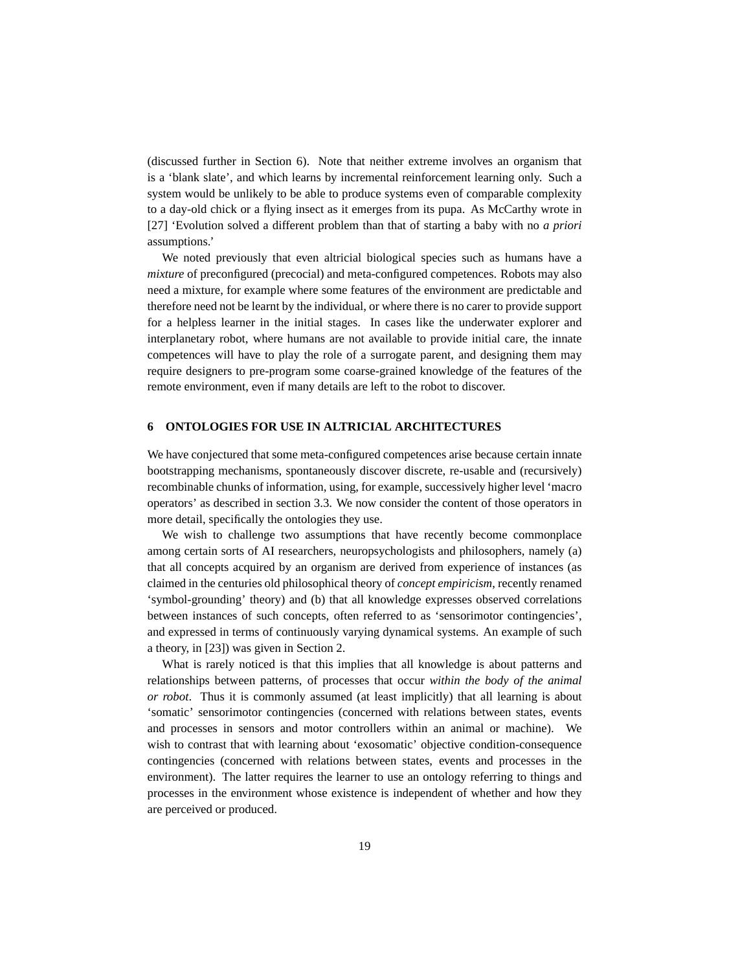(discussed further in Section 6). Note that neither extreme involves an organism that is a 'blank slate', and which learns by incremental reinforcement learning only. Such a system would be unlikely to be able to produce systems even of comparable complexity to a day-old chick or a flying insect as it emerges from its pupa. As McCarthy wrote in [27] 'Evolution solved a different problem than that of starting a baby with no *a priori* assumptions.'

We noted previously that even altricial biological species such as humans have a *mixture* of preconfigured (precocial) and meta-configured competences. Robots may also need a mixture, for example where some features of the environment are predictable and therefore need not be learnt by the individual, or where there is no carer to provide support for a helpless learner in the initial stages. In cases like the underwater explorer and interplanetary robot, where humans are not available to provide initial care, the innate competences will have to play the role of a surrogate parent, and designing them may require designers to pre-program some coarse-grained knowledge of the features of the remote environment, even if many details are left to the robot to discover.

#### **6 ONTOLOGIES FOR USE IN ALTRICIAL ARCHITECTURES**

We have conjectured that some meta-configured competences arise because certain innate bootstrapping mechanisms, spontaneously discover discrete, re-usable and (recursively) recombinable chunks of information, using, for example, successively higher level 'macro operators' as described in section 3.3. We now consider the content of those operators in more detail, specifically the ontologies they use.

We wish to challenge two assumptions that have recently become commonplace among certain sorts of AI researchers, neuropsychologists and philosophers, namely (a) that all concepts acquired by an organism are derived from experience of instances (as claimed in the centuries old philosophical theory of *concept empiricism*, recently renamed 'symbol-grounding' theory) and (b) that all knowledge expresses observed correlations between instances of such concepts, often referred to as 'sensorimotor contingencies', and expressed in terms of continuously varying dynamical systems. An example of such a theory, in [23]) was given in Section 2.

What is rarely noticed is that this implies that all knowledge is about patterns and relationships between patterns, of processes that occur *within the body of the animal or robot*. Thus it is commonly assumed (at least implicitly) that all learning is about 'somatic' sensorimotor contingencies (concerned with relations between states, events and processes in sensors and motor controllers within an animal or machine). We wish to contrast that with learning about 'exosomatic' objective condition-consequence contingencies (concerned with relations between states, events and processes in the environment). The latter requires the learner to use an ontology referring to things and processes in the environment whose existence is independent of whether and how they are perceived or produced.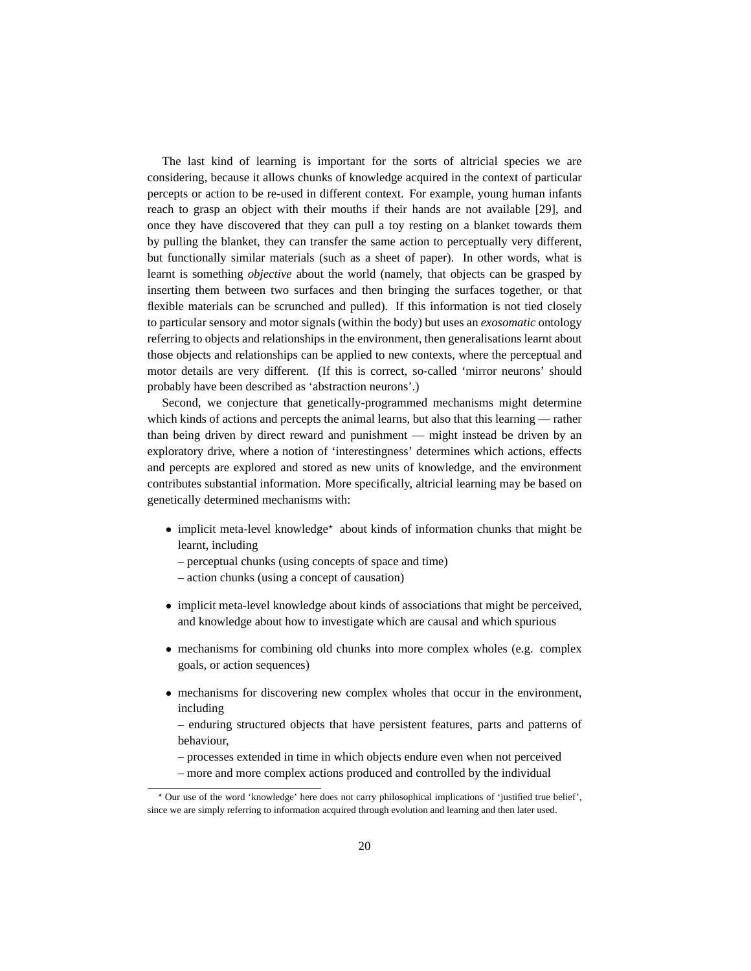The last kind of learning is important for the sorts of altricial species we are considering, because it allows chunks of knowledge acquired in the context of particular percepts or action to be re-used in different context. For example, young human infants reach to grasp an object with their mouths if their hands are not available [29], and once they have discovered that they can pull a toy resting on a blanket towards them by pulling the blanket, they can transfer the same action to perceptually very different, but functionally similar materials (such as a sheet of paper). In other words, what is learnt is something *objective* about the world (namely, that objects can be grasped by inserting them between two surfaces and then bringing the surfaces together, or that flexible materials can be scrunched and pulled). If this information is not tied closely to particular sensory and motor signals (within the body) but uses an *exosomatic* ontology referring to objects and relationships in the environment, then generalisations learnt about those objects and relationships can be applied to new contexts, where the perceptual and motor details are very different. (If this is correct, so-called 'mirror neurons' should probably have been described as 'abstraction neurons'.)

Second, we conjecture that genetically-programmed mechanisms might determine which kinds of actions and percepts the animal learns, but also that this learning — rather than being driven by direct reward and punishment — might instead be driven by an exploratory drive, where a notion of 'interestingness' determines which actions, effects and percepts are explored and stored as new units of knowledge, and the environment contributes substantial information. More specifically, altricial learning may be based on genetically determined mechanisms with:

- implicit meta-level knowledge\* about kinds of information chunks that might be learnt, including
	- perceptual chunks (using concepts of space and time)
	- action chunks (using a concept of causation)
- implicit meta-level knowledge about kinds of associations that might be perceived, and knowledge about how to investigate which are causal and which spurious
- mechanisms for combining old chunks into more complex wholes (e.g. complex goals, or action sequences)
- mechanisms for discovering new complex wholes that occur in the environment, including
	- enduring structured objects that have persistent features, parts and patterns of behaviour,
	- processes extended in time in which objects endure even when not perceived
	- more and more complex actions produced and controlled by the individual

<sup>?</sup> Our use of the word 'knowledge' here does not carry philosophical implications of 'justified true belief', since we are simply referring to information acquired through evolution and learning and then later used.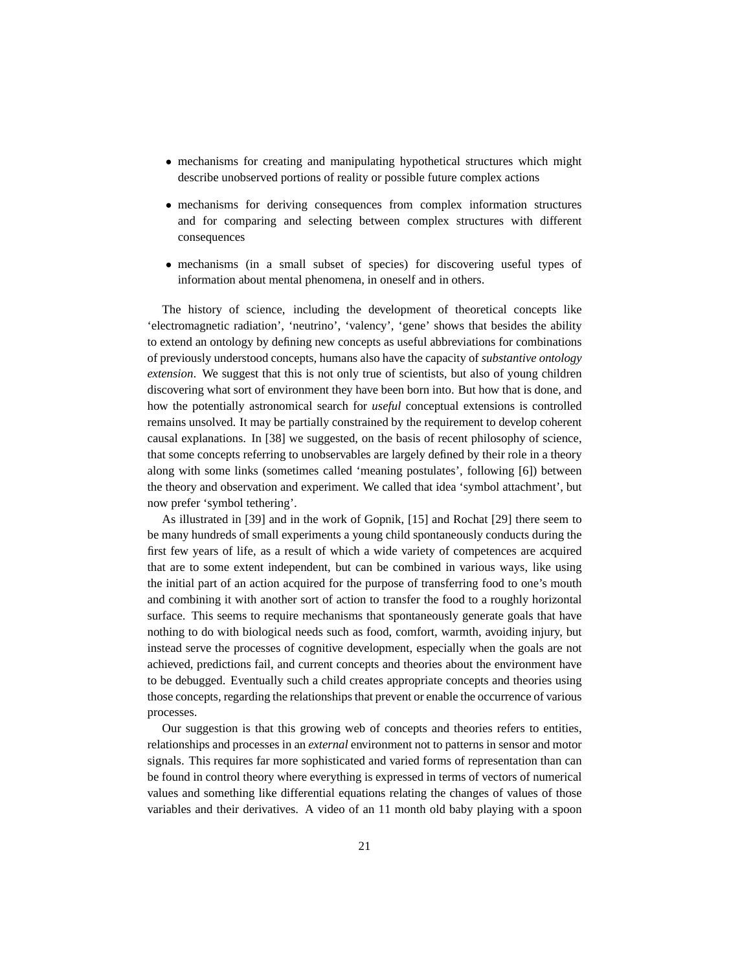- mechanisms for creating and manipulating hypothetical structures which might describe unobserved portions of reality or possible future complex actions
- mechanisms for deriving consequences from complex information structures and for comparing and selecting between complex structures with different consequences
- mechanisms (in a small subset of species) for discovering useful types of information about mental phenomena, in oneself and in others.

The history of science, including the development of theoretical concepts like 'electromagnetic radiation', 'neutrino', 'valency', 'gene' shows that besides the ability to extend an ontology by defining new concepts as useful abbreviations for combinations of previously understood concepts, humans also have the capacity of *substantive ontology extension*. We suggest that this is not only true of scientists, but also of young children discovering what sort of environment they have been born into. But how that is done, and how the potentially astronomical search for *useful* conceptual extensions is controlled remains unsolved. It may be partially constrained by the requirement to develop coherent causal explanations. In [38] we suggested, on the basis of recent philosophy of science, that some concepts referring to unobservables are largely defined by their role in a theory along with some links (sometimes called 'meaning postulates', following [6]) between the theory and observation and experiment. We called that idea 'symbol attachment', but now prefer 'symbol tethering'.

As illustrated in [39] and in the work of Gopnik, [15] and Rochat [29] there seem to be many hundreds of small experiments a young child spontaneously conducts during the first few years of life, as a result of which a wide variety of competences are acquired that are to some extent independent, but can be combined in various ways, like using the initial part of an action acquired for the purpose of transferring food to one's mouth and combining it with another sort of action to transfer the food to a roughly horizontal surface. This seems to require mechanisms that spontaneously generate goals that have nothing to do with biological needs such as food, comfort, warmth, avoiding injury, but instead serve the processes of cognitive development, especially when the goals are not achieved, predictions fail, and current concepts and theories about the environment have to be debugged. Eventually such a child creates appropriate concepts and theories using those concepts, regarding the relationships that prevent or enable the occurrence of various processes.

Our suggestion is that this growing web of concepts and theories refers to entities, relationships and processes in an *external* environment not to patterns in sensor and motor signals. This requires far more sophisticated and varied forms of representation than can be found in control theory where everything is expressed in terms of vectors of numerical values and something like differential equations relating the changes of values of those variables and their derivatives. A video of an 11 month old baby playing with a spoon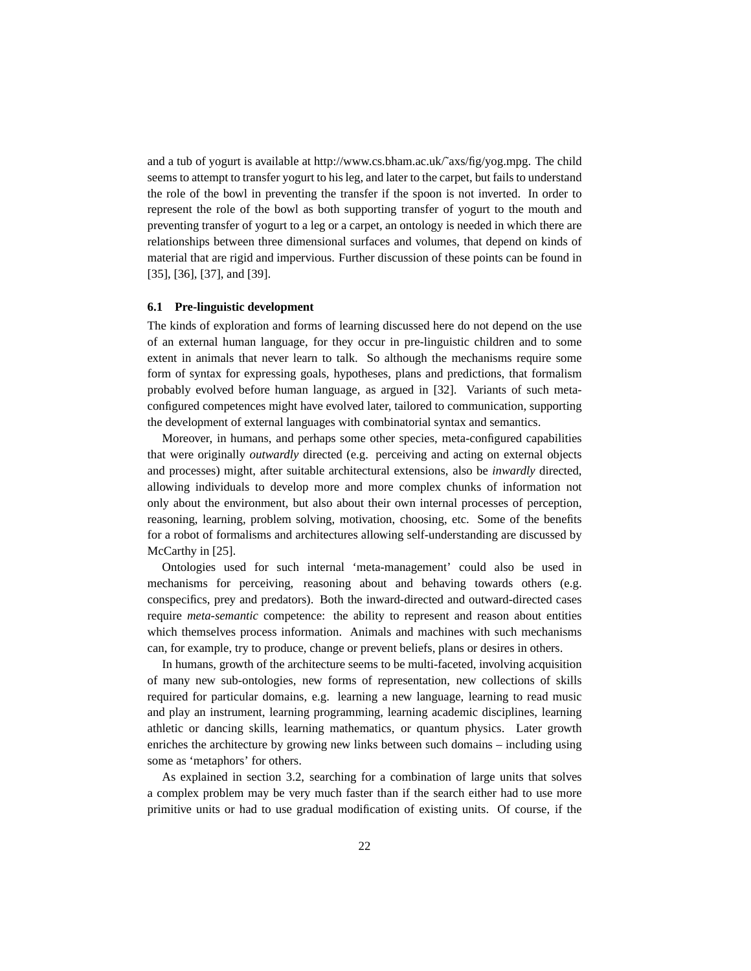and a tub of yogurt is available at http://www.cs.bham.ac.uk/˜axs/fig/yog.mpg. The child seems to attempt to transfer yogurt to his leg, and later to the carpet, but fails to understand the role of the bowl in preventing the transfer if the spoon is not inverted. In order to represent the role of the bowl as both supporting transfer of yogurt to the mouth and preventing transfer of yogurt to a leg or a carpet, an ontology is needed in which there are relationships between three dimensional surfaces and volumes, that depend on kinds of material that are rigid and impervious. Further discussion of these points can be found in [35], [36], [37], and [39].

#### **6.1 Pre-linguistic development**

The kinds of exploration and forms of learning discussed here do not depend on the use of an external human language, for they occur in pre-linguistic children and to some extent in animals that never learn to talk. So although the mechanisms require some form of syntax for expressing goals, hypotheses, plans and predictions, that formalism probably evolved before human language, as argued in [32]. Variants of such metaconfigured competences might have evolved later, tailored to communication, supporting the development of external languages with combinatorial syntax and semantics.

Moreover, in humans, and perhaps some other species, meta-configured capabilities that were originally *outwardly* directed (e.g. perceiving and acting on external objects and processes) might, after suitable architectural extensions, also be *inwardly* directed, allowing individuals to develop more and more complex chunks of information not only about the environment, but also about their own internal processes of perception, reasoning, learning, problem solving, motivation, choosing, etc. Some of the benefits for a robot of formalisms and architectures allowing self-understanding are discussed by McCarthy in [25].

Ontologies used for such internal 'meta-management' could also be used in mechanisms for perceiving, reasoning about and behaving towards others (e.g. conspecifics, prey and predators). Both the inward-directed and outward-directed cases require *meta-semantic* competence: the ability to represent and reason about entities which themselves process information. Animals and machines with such mechanisms can, for example, try to produce, change or prevent beliefs, plans or desires in others.

In humans, growth of the architecture seems to be multi-faceted, involving acquisition of many new sub-ontologies, new forms of representation, new collections of skills required for particular domains, e.g. learning a new language, learning to read music and play an instrument, learning programming, learning academic disciplines, learning athletic or dancing skills, learning mathematics, or quantum physics. Later growth enriches the architecture by growing new links between such domains – including using some as 'metaphors' for others.

As explained in section 3.2, searching for a combination of large units that solves a complex problem may be very much faster than if the search either had to use more primitive units or had to use gradual modification of existing units. Of course, if the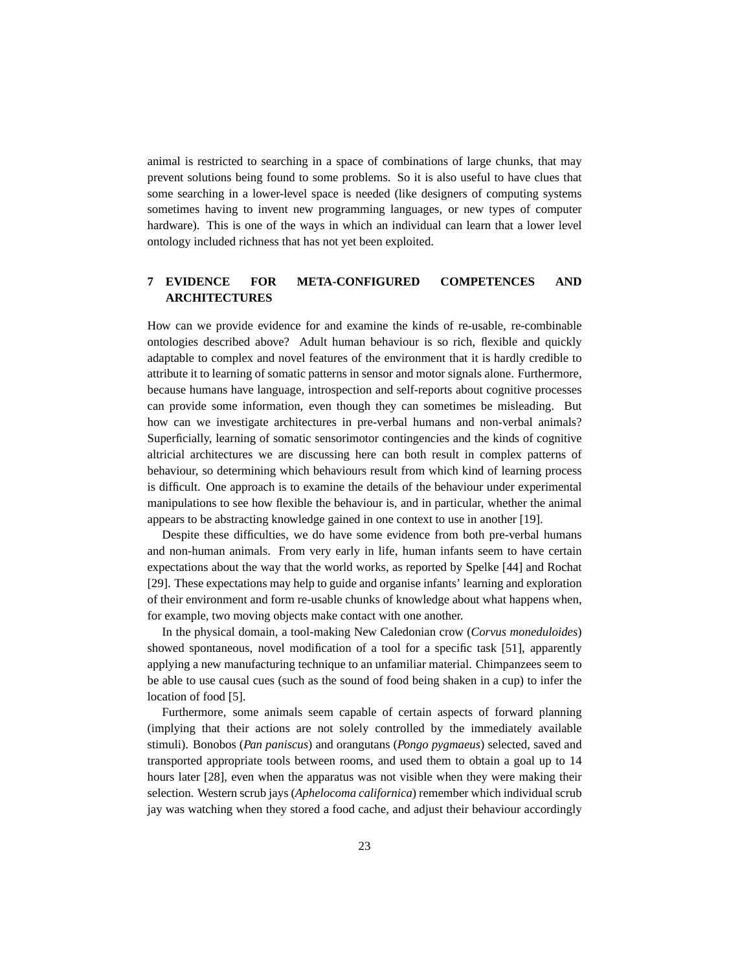animal is restricted to searching in a space of combinations of large chunks, that may prevent solutions being found to some problems. So it is also useful to have clues that some searching in a lower-level space is needed (like designers of computing systems sometimes having to invent new programming languages, or new types of computer hardware). This is one of the ways in which an individual can learn that a lower level ontology included richness that has not yet been exploited.

# **7 EVIDENCE FOR META-CONFIGURED COMPETENCES AND ARCHITECTURES**

How can we provide evidence for and examine the kinds of re-usable, re-combinable ontologies described above? Adult human behaviour is so rich, flexible and quickly adaptable to complex and novel features of the environment that it is hardly credible to attribute it to learning of somatic patterns in sensor and motor signals alone. Furthermore, because humans have language, introspection and self-reports about cognitive processes can provide some information, even though they can sometimes be misleading. But how can we investigate architectures in pre-verbal humans and non-verbal animals? Superficially, learning of somatic sensorimotor contingencies and the kinds of cognitive altricial architectures we are discussing here can both result in complex patterns of behaviour, so determining which behaviours result from which kind of learning process is difficult. One approach is to examine the details of the behaviour under experimental manipulations to see how flexible the behaviour is, and in particular, whether the animal appears to be abstracting knowledge gained in one context to use in another [19].

Despite these difficulties, we do have some evidence from both pre-verbal humans and non-human animals. From very early in life, human infants seem to have certain expectations about the way that the world works, as reported by Spelke [44] and Rochat [29]. These expectations may help to guide and organise infants' learning and exploration of their environment and form re-usable chunks of knowledge about what happens when, for example, two moving objects make contact with one another.

In the physical domain, a tool-making New Caledonian crow (*Corvus moneduloides*) showed spontaneous, novel modification of a tool for a specific task [51], apparently applying a new manufacturing technique to an unfamiliar material. Chimpanzees seem to be able to use causal cues (such as the sound of food being shaken in a cup) to infer the location of food [5].

Furthermore, some animals seem capable of certain aspects of forward planning (implying that their actions are not solely controlled by the immediately available stimuli). Bonobos (*Pan paniscus*) and orangutans (*Pongo pygmaeus*) selected, saved and transported appropriate tools between rooms, and used them to obtain a goal up to 14 hours later [28], even when the apparatus was not visible when they were making their selection. Western scrub jays (*Aphelocoma californica*) remember which individual scrub jay was watching when they stored a food cache, and adjust their behaviour accordingly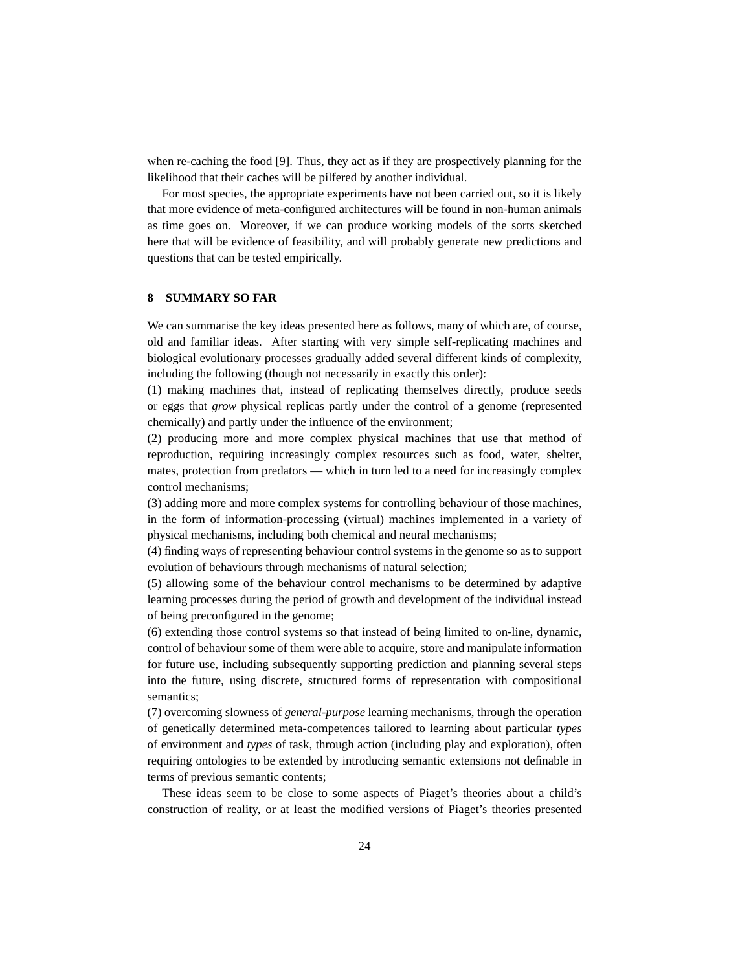when re-caching the food [9]. Thus, they act as if they are prospectively planning for the likelihood that their caches will be pilfered by another individual.

For most species, the appropriate experiments have not been carried out, so it is likely that more evidence of meta-configured architectures will be found in non-human animals as time goes on. Moreover, if we can produce working models of the sorts sketched here that will be evidence of feasibility, and will probably generate new predictions and questions that can be tested empirically.

## **8 SUMMARY SO FAR**

We can summarise the key ideas presented here as follows, many of which are, of course, old and familiar ideas. After starting with very simple self-replicating machines and biological evolutionary processes gradually added several different kinds of complexity, including the following (though not necessarily in exactly this order):

(1) making machines that, instead of replicating themselves directly, produce seeds or eggs that *grow* physical replicas partly under the control of a genome (represented chemically) and partly under the influence of the environment;

(2) producing more and more complex physical machines that use that method of reproduction, requiring increasingly complex resources such as food, water, shelter, mates, protection from predators — which in turn led to a need for increasingly complex control mechanisms;

(3) adding more and more complex systems for controlling behaviour of those machines, in the form of information-processing (virtual) machines implemented in a variety of physical mechanisms, including both chemical and neural mechanisms;

(4) finding ways of representing behaviour control systems in the genome so as to support evolution of behaviours through mechanisms of natural selection;

(5) allowing some of the behaviour control mechanisms to be determined by adaptive learning processes during the period of growth and development of the individual instead of being preconfigured in the genome;

(6) extending those control systems so that instead of being limited to on-line, dynamic, control of behaviour some of them were able to acquire, store and manipulate information for future use, including subsequently supporting prediction and planning several steps into the future, using discrete, structured forms of representation with compositional semantics;

(7) overcoming slowness of *general-purpose* learning mechanisms, through the operation of genetically determined meta-competences tailored to learning about particular *types* of environment and *types* of task, through action (including play and exploration), often requiring ontologies to be extended by introducing semantic extensions not definable in terms of previous semantic contents;

These ideas seem to be close to some aspects of Piaget's theories about a child's construction of reality, or at least the modified versions of Piaget's theories presented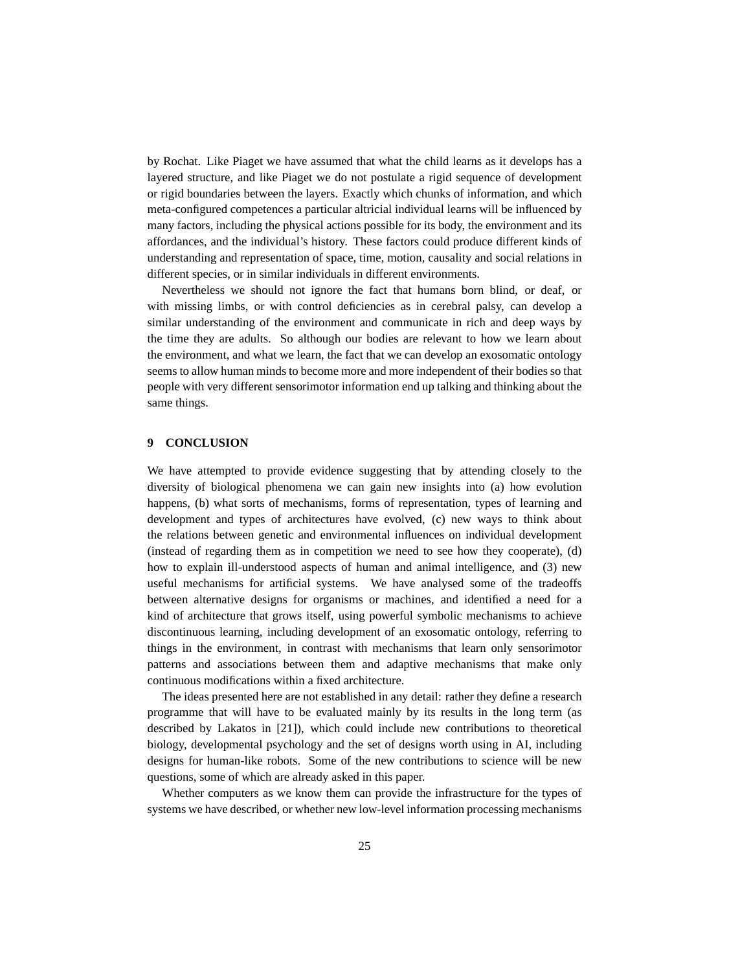by Rochat. Like Piaget we have assumed that what the child learns as it develops has a layered structure, and like Piaget we do not postulate a rigid sequence of development or rigid boundaries between the layers. Exactly which chunks of information, and which meta-configured competences a particular altricial individual learns will be influenced by many factors, including the physical actions possible for its body, the environment and its affordances, and the individual's history. These factors could produce different kinds of understanding and representation of space, time, motion, causality and social relations in different species, or in similar individuals in different environments.

Nevertheless we should not ignore the fact that humans born blind, or deaf, or with missing limbs, or with control deficiencies as in cerebral palsy, can develop a similar understanding of the environment and communicate in rich and deep ways by the time they are adults. So although our bodies are relevant to how we learn about the environment, and what we learn, the fact that we can develop an exosomatic ontology seems to allow human minds to become more and more independent of their bodies so that people with very different sensorimotor information end up talking and thinking about the same things.

#### **9 CONCLUSION**

We have attempted to provide evidence suggesting that by attending closely to the diversity of biological phenomena we can gain new insights into (a) how evolution happens, (b) what sorts of mechanisms, forms of representation, types of learning and development and types of architectures have evolved, (c) new ways to think about the relations between genetic and environmental influences on individual development (instead of regarding them as in competition we need to see how they cooperate), (d) how to explain ill-understood aspects of human and animal intelligence, and (3) new useful mechanisms for artificial systems. We have analysed some of the tradeoffs between alternative designs for organisms or machines, and identified a need for a kind of architecture that grows itself, using powerful symbolic mechanisms to achieve discontinuous learning, including development of an exosomatic ontology, referring to things in the environment, in contrast with mechanisms that learn only sensorimotor patterns and associations between them and adaptive mechanisms that make only continuous modifications within a fixed architecture.

The ideas presented here are not established in any detail: rather they define a research programme that will have to be evaluated mainly by its results in the long term (as described by Lakatos in [21]), which could include new contributions to theoretical biology, developmental psychology and the set of designs worth using in AI, including designs for human-like robots. Some of the new contributions to science will be new questions, some of which are already asked in this paper.

Whether computers as we know them can provide the infrastructure for the types of systems we have described, or whether new low-level information processing mechanisms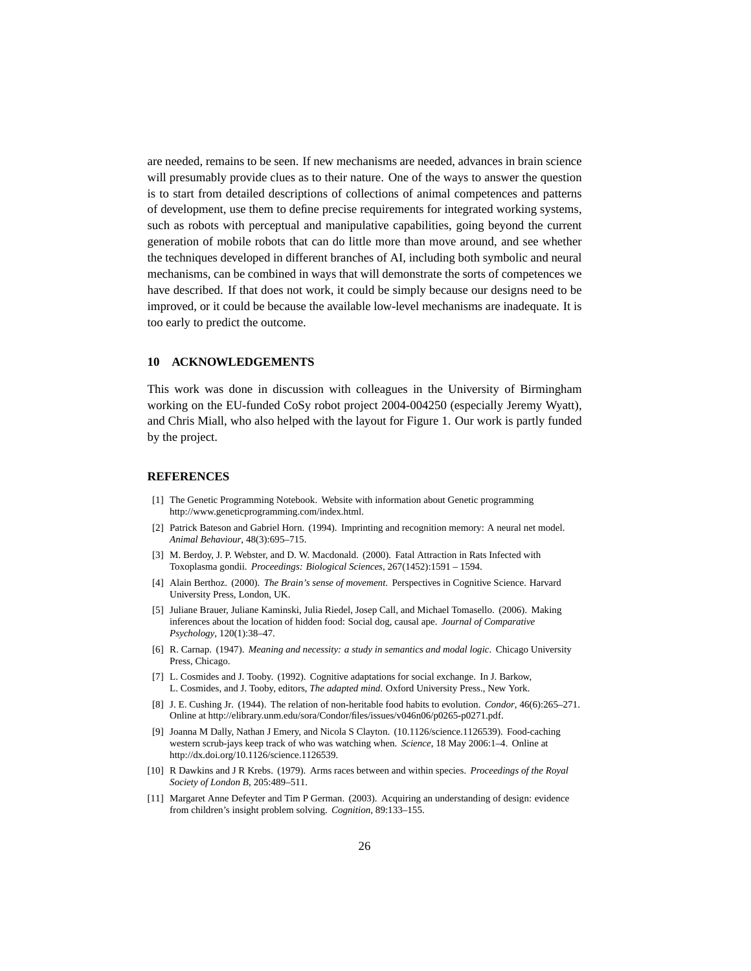are needed, remains to be seen. If new mechanisms are needed, advances in brain science will presumably provide clues as to their nature. One of the ways to answer the question is to start from detailed descriptions of collections of animal competences and patterns of development, use them to define precise requirements for integrated working systems, such as robots with perceptual and manipulative capabilities, going beyond the current generation of mobile robots that can do little more than move around, and see whether the techniques developed in different branches of AI, including both symbolic and neural mechanisms, can be combined in ways that will demonstrate the sorts of competences we have described. If that does not work, it could be simply because our designs need to be improved, or it could be because the available low-level mechanisms are inadequate. It is too early to predict the outcome.

#### **10 ACKNOWLEDGEMENTS**

This work was done in discussion with colleagues in the University of Birmingham working on the EU-funded CoSy robot project 2004-004250 (especially Jeremy Wyatt), and Chris Miall, who also helped with the layout for Figure 1. Our work is partly funded by the project.

#### **REFERENCES**

- [1] The Genetic Programming Notebook. Website with information about Genetic programming http://www.geneticprogramming.com/index.html.
- [2] Patrick Bateson and Gabriel Horn. (1994). Imprinting and recognition memory: A neural net model. *Animal Behaviour*, 48(3):695–715.
- [3] M. Berdoy, J. P. Webster, and D. W. Macdonald. (2000). Fatal Attraction in Rats Infected with Toxoplasma gondii. *Proceedings: Biological Sciences*, 267(1452):1591 – 1594.
- [4] Alain Berthoz. (2000). *The Brain's sense of movement*. Perspectives in Cognitive Science. Harvard University Press, London, UK.
- [5] Juliane Brauer, Juliane Kaminski, Julia Riedel, Josep Call, and Michael Tomasello. (2006). Making inferences about the location of hidden food: Social dog, causal ape. *Journal of Comparative Psychology*, 120(1):38–47.
- [6] R. Carnap. (1947). *Meaning and necessity: a study in semantics and modal logic*. Chicago University Press, Chicago.
- [7] L. Cosmides and J. Tooby. (1992). Cognitive adaptations for social exchange. In J. Barkow, L. Cosmides, and J. Tooby, editors, *The adapted mind*. Oxford University Press., New York.
- [8] J. E. Cushing Jr. (1944). The relation of non-heritable food habits to evolution. *Condor*, 46(6):265–271. Online at http://elibrary.unm.edu/sora/Condor/files/issues/v046n06/p0265-p0271.pdf.
- [9] Joanna M Dally, Nathan J Emery, and Nicola S Clayton. (10.1126/science.1126539). Food-caching western scrub-jays keep track of who was watching when. *Science*, 18 May 2006:1–4. Online at http://dx.doi.org/10.1126/science.1126539.
- [10] R Dawkins and J R Krebs. (1979). Arms races between and within species. *Proceedings of the Royal Society of London B*, 205:489–511.
- [11] Margaret Anne Defeyter and Tim P German. (2003). Acquiring an understanding of design: evidence from children's insight problem solving. *Cognition*, 89:133–155.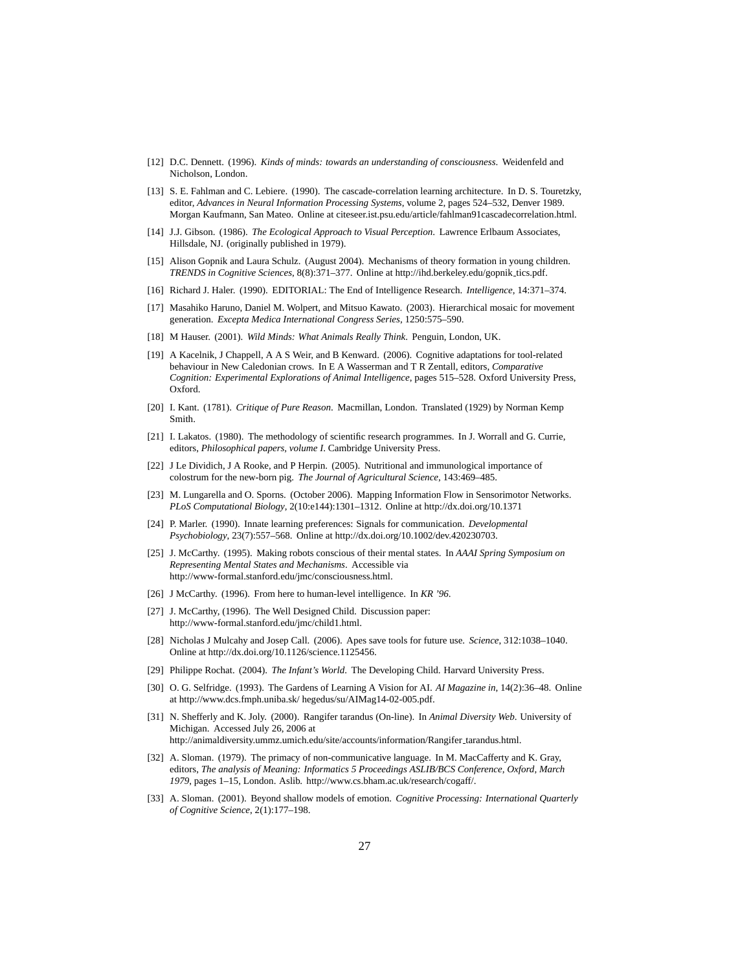- [12] D.C. Dennett. (1996). *Kinds of minds: towards an understanding of consciousness*. Weidenfeld and Nicholson, London.
- [13] S. E. Fahlman and C. Lebiere. (1990). The cascade-correlation learning architecture. In D. S. Touretzky, editor, *Advances in Neural Information Processing Systems*, volume 2, pages 524–532, Denver 1989. Morgan Kaufmann, San Mateo. Online at citeseer.ist.psu.edu/article/fahlman91cascadecorrelation.html.
- [14] J.J. Gibson. (1986). *The Ecological Approach to Visual Perception*. Lawrence Erlbaum Associates, Hillsdale, NJ. (originally published in 1979).
- [15] Alison Gopnik and Laura Schulz. (August 2004). Mechanisms of theory formation in young children. *TRENDS in Cognitive Sciences*, 8(8):371–377. Online at http://ihd.berkeley.edu/gopnik tics.pdf.
- [16] Richard J. Haler. (1990). EDITORIAL: The End of Intelligence Research. *Intelligence*, 14:371–374.
- [17] Masahiko Haruno, Daniel M. Wolpert, and Mitsuo Kawato. (2003). Hierarchical mosaic for movement generation. *Excepta Medica International Congress Series*, 1250:575–590.
- [18] M Hauser. (2001). *Wild Minds: What Animals Really Think*. Penguin, London, UK.
- [19] A Kacelnik, J Chappell, A A S Weir, and B Kenward. (2006). Cognitive adaptations for tool-related behaviour in New Caledonian crows. In E A Wasserman and T R Zentall, editors, *Comparative Cognition: Experimental Explorations of Animal Intelligence*, pages 515–528. Oxford University Press, Oxford.
- [20] I. Kant. (1781). *Critique of Pure Reason*. Macmillan, London. Translated (1929) by Norman Kemp Smith.
- [21] I. Lakatos. (1980). The methodology of scientific research programmes. In J. Worrall and G. Currie, editors, *Philosophical papers, volume I*. Cambridge University Press.
- [22] J Le Dividich, J A Rooke, and P Herpin. (2005). Nutritional and immunological importance of colostrum for the new-born pig. *The Journal of Agricultural Science*, 143:469–485.
- [23] M. Lungarella and O. Sporns. (October 2006). Mapping Information Flow in Sensorimotor Networks. *PLoS Computational Biology*, 2(10:e144):1301–1312. Online at http://dx.doi.org/10.1371
- [24] P. Marler. (1990). Innate learning preferences: Signals for communication. *Developmental Psychobiology*, 23(7):557–568. Online at http://dx.doi.org/10.1002/dev.420230703.
- [25] J. McCarthy. (1995). Making robots conscious of their mental states. In *AAAI Spring Symposium on Representing Mental States and Mechanisms*. Accessible via http://www-formal.stanford.edu/jmc/consciousness.html.
- [26] J McCarthy. (1996). From here to human-level intelligence. In *KR '96*.
- [27] J. McCarthy, (1996). The Well Designed Child. Discussion paper: http://www-formal.stanford.edu/jmc/child1.html.
- [28] Nicholas J Mulcahy and Josep Call. (2006). Apes save tools for future use. *Science*, 312:1038–1040. Online at http://dx.doi.org/10.1126/science.1125456.
- [29] Philippe Rochat. (2004). *The Infant's World*. The Developing Child. Harvard University Press.
- [30] O. G. Selfridge. (1993). The Gardens of Learning A Vision for AI. *AI Magazine in*, 14(2):36–48. Online at http://www.dcs.fmph.uniba.sk/ hegedus/su/AIMag14-02-005.pdf.
- [31] N. Shefferly and K. Joly. (2000). Rangifer tarandus (On-line). In *Animal Diversity Web*. University of Michigan. Accessed July 26, 2006 at http://animaldiversity.ummz.umich.edu/site/accounts/information/Rangifer tarandus.html.
- [32] A. Sloman. (1979). The primacy of non-communicative language. In M. MacCafferty and K. Gray, editors, *The analysis of Meaning: Informatics 5 Proceedings ASLIB/BCS Conference, Oxford, March 1979*, pages 1–15, London. Aslib. http://www.cs.bham.ac.uk/research/cogaff/.
- [33] A. Sloman. (2001). Beyond shallow models of emotion. *Cognitive Processing: International Quarterly of Cognitive Science*, 2(1):177–198.